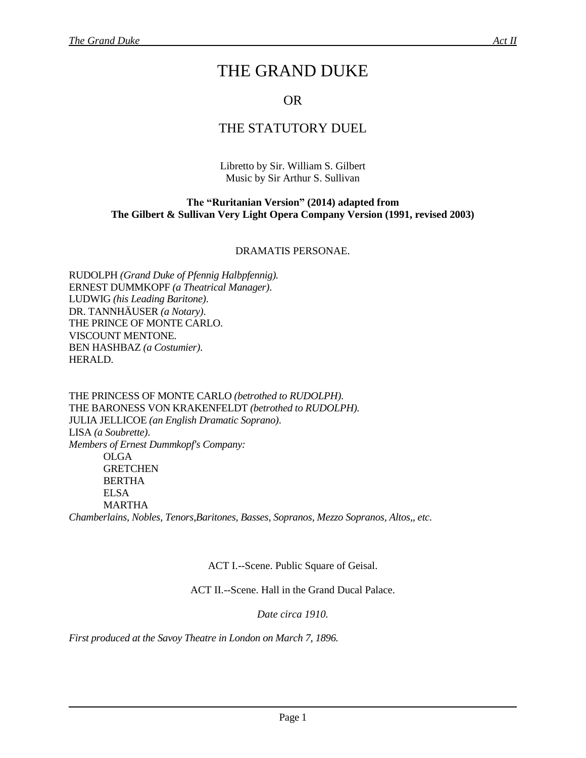# THE GRAND DUKE

## OR

## THE STATUTORY DUEL

Libretto by Sir. William S. Gilbert Music by Sir Arthur S. Sullivan

#### **The "Ruritanian Version" (2014) adapted from The Gilbert & Sullivan Very Light Opera Company Version (1991, revised 2003)**

#### DRAMATIS PERSONAE.

RUDOLPH *(Grand Duke of Pfennig Halbpfennig).* ERNEST DUMMKOPF *(a Theatrical Manager)*. LUDWIG *(his Leading Baritone)*. DR. TANNHÄUSER *(a Notary)*. THE PRINCE OF MONTE CARLO. VISCOUNT MENTONE. BEN HASHBAZ *(a Costumier)*. HERALD.

THE PRINCESS OF MONTE CARLO *(betrothed to RUDOLPH)*. THE BARONESS VON KRAKENFELDT *(betrothed to RUDOLPH)*. JULIA JELLICOE *(an English Dramatic Soprano)*. LISA *(a Soubrette)*. *Members of Ernest Dummkopf's Company:* OLGA **GRETCHEN** BERTHA ELSA MARTHA *Chamberlains, Nobles, Tenors,Baritones, Basses, Sopranos, Mezzo Sopranos, Altos,, etc.*

ACT I.--Scene. Public Square of Geisal.

ACT II.--Scene. Hall in the Grand Ducal Palace.

*Date circa 1910.*

*First produced at the Savoy Theatre in London on March 7, 1896.*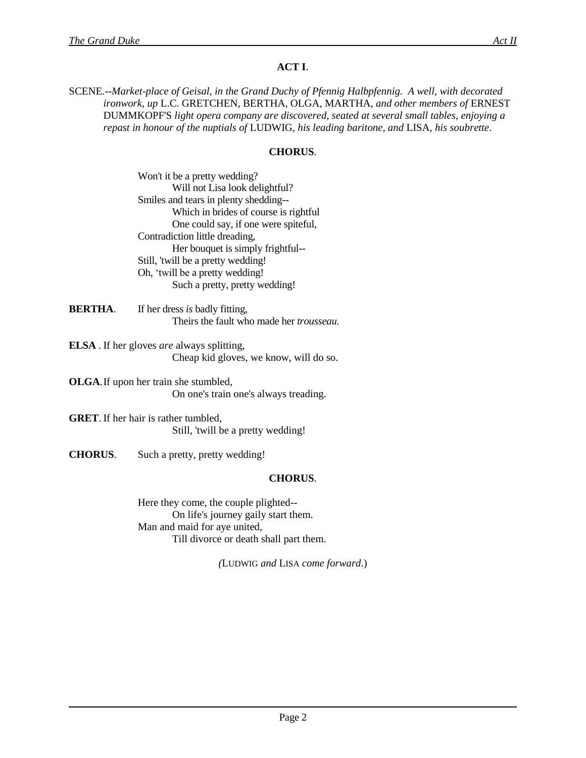#### **ACT I**.

SCENE.--*Market-place of Geisal, in the Grand Duchy of Pfennig Halbpfennig. A well, with decorated ironwork, up* L.C. GRETCHEN, BERTHA, OLGA, MARTHA, *and other members of* ERNEST DUMMKOPF'S *light opera company are discovered, seated at several small tables, enjoying a repast in honour of the nuptials of* LUDWIG, *his leading baritone, and* LISA, *his soubrette*.

#### **CHORUS**.

Won't it be a pretty wedding? Will not Lisa look delightful? Smiles and tears in plenty shedding-- Which in brides of course is rightful One could say, if one were spiteful, Contradiction little dreading, Her bouquet is simply frightful-- Still, 'twill be a pretty wedding! Oh, 'twill be a pretty wedding! Such a pretty, pretty wedding!

**BERTHA**. If her dress *is* badly fitting, Theirs the fault who made her *trousseau*.

**ELSA** . If her gloves *are* always splitting, Cheap kid gloves, we know, will do so.

**OLGA**.If upon her train she stumbled, On one's train one's always treading.

**GRET**. If her hair is rather tumbled, Still, 'twill be a pretty wedding!

**CHORUS**. Such a pretty, pretty wedding!

#### **CHORUS**.

Here they come, the couple plighted-- On life's journey gaily start them. Man and maid for aye united, Till divorce or death shall part them.

*(*LUDWIG *and* LISA *come forward*.)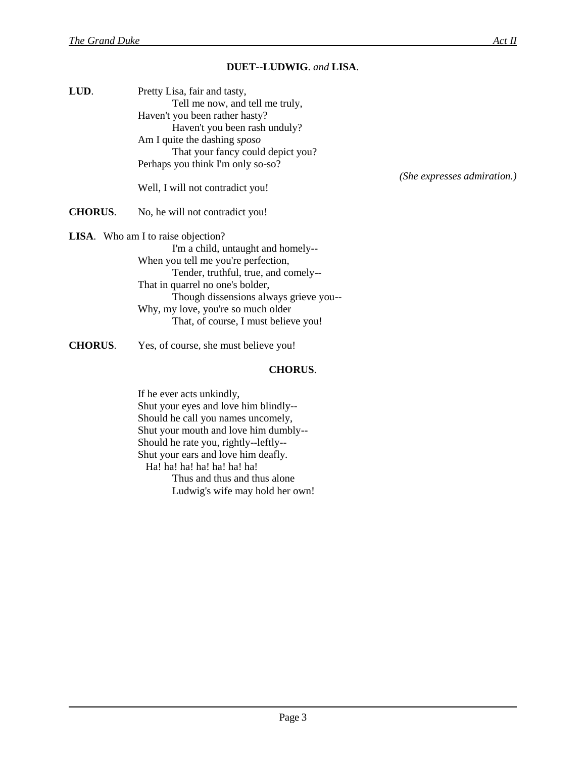#### **DUET--LUDWIG**. *and* **LISA**.

| LUD. | Pretty Lisa, fair and tasty,        |
|------|-------------------------------------|
|      | Tell me now, and tell me truly,     |
|      | Haven't you been rather hasty?      |
|      | Haven't you been rash unduly?       |
|      | Am I quite the dashing <i>sposo</i> |
|      | That your fancy could depict you?   |
|      | Perhaps you think I'm only so-so?   |
|      |                                     |

Well, I will not contradict you!

**CHORUS**. No, he will not contradict you!

**LISA**. Who am I to raise objection?

I'm a child, untaught and homely-- When you tell me you're perfection, Tender, truthful, true, and comely-- That in quarrel no one's bolder, Though dissensions always grieve you-- Why, my love, you're so much older That, of course, I must believe you!

**CHORUS**. Yes, of course, she must believe you!

#### **CHORUS**.

If he ever acts unkindly, Shut your eyes and love him blindly-- Should he call you names uncomely, Shut your mouth and love him dumbly-- Should he rate you, rightly--leftly-- Shut your ears and love him deafly. Ha! ha! ha! ha! ha! ha! ha! Thus and thus and thus alone Ludwig's wife may hold her own! *(She expresses admiration.)*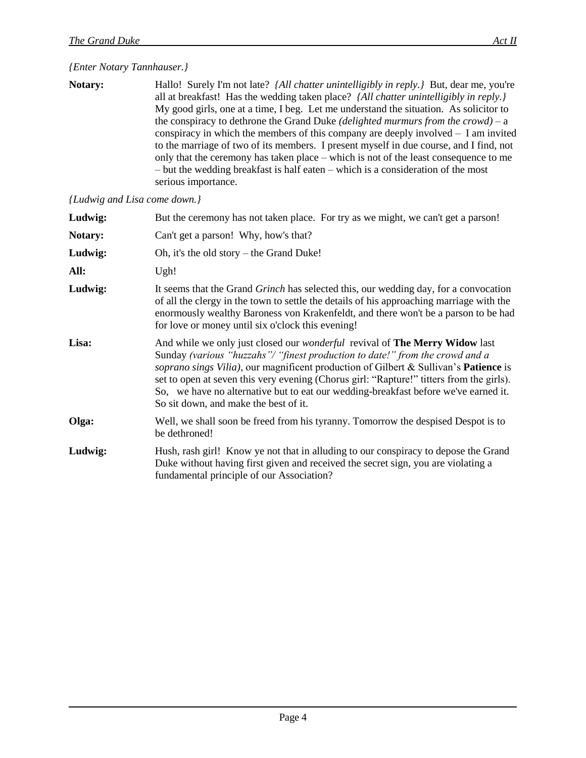**Notary:** Hallo! Surely I'm not late? *{All chatter unintelligibly in reply.}* But, dear me, you're all at breakfast! Has the wedding taken place? *{All chatter unintelligibly in reply.}* My good girls, one at a time, I beg. Let me understand the situation. As solicitor to the conspiracy to dethrone the Grand Duke *(delighted murmurs from the crowd)* – a conspiracy in which the members of this company are deeply involved – I am invited to the marriage of two of its members. I present myself in due course, and I find, not only that the ceremony has taken place – which is not of the least consequence to me – but the wedding breakfast is half eaten – which is a consideration of the most serious importance.

#### *{Ludwig and Lisa come down.}*

| Ludwig: | But the ceremony has not taken place. For try as we might, we can't get a parson!                                                                                                                                                                                                                                                                                                                                                                                                                    |
|---------|------------------------------------------------------------------------------------------------------------------------------------------------------------------------------------------------------------------------------------------------------------------------------------------------------------------------------------------------------------------------------------------------------------------------------------------------------------------------------------------------------|
| Notary: | Can't get a parson! Why, how's that?                                                                                                                                                                                                                                                                                                                                                                                                                                                                 |
| Ludwig: | Oh, it's the old story $-$ the Grand Duke!                                                                                                                                                                                                                                                                                                                                                                                                                                                           |
| All:    | Ugh!                                                                                                                                                                                                                                                                                                                                                                                                                                                                                                 |
| Ludwig: | It seems that the Grand <i>Grinch</i> has selected this, our wedding day, for a convocation<br>of all the clergy in the town to settle the details of his approaching marriage with the<br>enormously wealthy Baroness von Krakenfeldt, and there won't be a parson to be had<br>for love or money until six o'clock this evening!                                                                                                                                                                   |
| Lisa:   | And while we only just closed our <i>wonderful</i> revival of <b>The Merry Widow</b> last<br>Sunday (various "huzzahs"/ "finest production to date!" from the crowd and a<br>soprano sings Vilia), our magnificent production of Gilbert & Sullivan's <b>Patience</b> is<br>set to open at seven this very evening (Chorus girl: "Rapture!" titters from the girls).<br>So, we have no alternative but to eat our wedding-breakfast before we've earned it.<br>So sit down, and make the best of it. |
| Olga:   | Well, we shall soon be freed from his tyranny. Tomorrow the despised Despot is to<br>be dethroned!                                                                                                                                                                                                                                                                                                                                                                                                   |
| Ludwig: | Hush, rash girl! Know ye not that in alluding to our conspiracy to depose the Grand<br>Duke without having first given and received the secret sign, you are violating a<br>fundamental principle of our Association?                                                                                                                                                                                                                                                                                |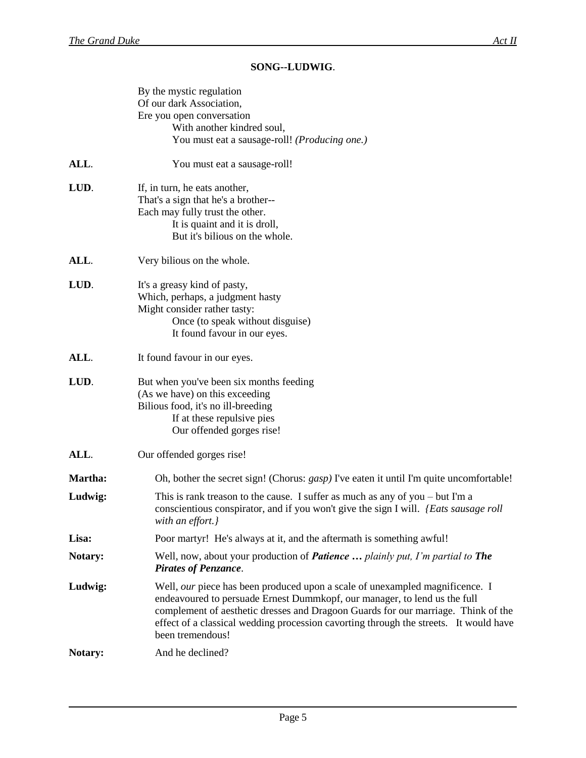|         | By the mystic regulation                                                                                                                                                                                                                                                                                                                                    |
|---------|-------------------------------------------------------------------------------------------------------------------------------------------------------------------------------------------------------------------------------------------------------------------------------------------------------------------------------------------------------------|
|         | Of our dark Association,                                                                                                                                                                                                                                                                                                                                    |
|         | Ere you open conversation<br>With another kindred soul,                                                                                                                                                                                                                                                                                                     |
|         | You must eat a sausage-roll! (Producing one.)                                                                                                                                                                                                                                                                                                               |
|         |                                                                                                                                                                                                                                                                                                                                                             |
| ALL.    | You must eat a sausage-roll!                                                                                                                                                                                                                                                                                                                                |
| LUD.    | If, in turn, he eats another,                                                                                                                                                                                                                                                                                                                               |
|         | That's a sign that he's a brother--                                                                                                                                                                                                                                                                                                                         |
|         | Each may fully trust the other.                                                                                                                                                                                                                                                                                                                             |
|         | It is quaint and it is droll,                                                                                                                                                                                                                                                                                                                               |
|         | But it's bilious on the whole.                                                                                                                                                                                                                                                                                                                              |
| ALL.    | Very bilious on the whole.                                                                                                                                                                                                                                                                                                                                  |
| LUD.    | It's a greasy kind of pasty,                                                                                                                                                                                                                                                                                                                                |
|         | Which, perhaps, a judgment hasty                                                                                                                                                                                                                                                                                                                            |
|         | Might consider rather tasty:                                                                                                                                                                                                                                                                                                                                |
|         | Once (to speak without disguise)                                                                                                                                                                                                                                                                                                                            |
|         | It found favour in our eyes.                                                                                                                                                                                                                                                                                                                                |
| ALL.    | It found favour in our eyes.                                                                                                                                                                                                                                                                                                                                |
| LUD.    | But when you've been six months feeding                                                                                                                                                                                                                                                                                                                     |
|         | (As we have) on this exceeding                                                                                                                                                                                                                                                                                                                              |
|         | Bilious food, it's no ill-breeding                                                                                                                                                                                                                                                                                                                          |
|         | If at these repulsive pies                                                                                                                                                                                                                                                                                                                                  |
|         | Our offended gorges rise!                                                                                                                                                                                                                                                                                                                                   |
| ALL.    | Our offended gorges rise!                                                                                                                                                                                                                                                                                                                                   |
| Martha: | Oh, bother the secret sign! (Chorus: <i>gasp</i> ) I've eaten it until I'm quite uncomfortable!                                                                                                                                                                                                                                                             |
| Ludwig: | This is rank treason to the cause. I suffer as much as any of you $-$ but I'm a<br>conscientious conspirator, and if you won't give the sign I will. <i>{Eats sausage roll</i><br>with an effort.}                                                                                                                                                          |
| Lisa:   | Poor martyr! He's always at it, and the aftermath is something awful!                                                                                                                                                                                                                                                                                       |
| Notary: | Well, now, about your production of <i>Patience plainly put, I'm partial to The</i><br><b>Pirates of Penzance.</b>                                                                                                                                                                                                                                          |
| Ludwig: | Well, our piece has been produced upon a scale of unexampled magnificence. I<br>endeavoured to persuade Ernest Dummkopf, our manager, to lend us the full<br>complement of aesthetic dresses and Dragoon Guards for our marriage. Think of the<br>effect of a classical wedding procession cavorting through the streets. It would have<br>been tremendous! |
| Notary: | And he declined?                                                                                                                                                                                                                                                                                                                                            |
|         |                                                                                                                                                                                                                                                                                                                                                             |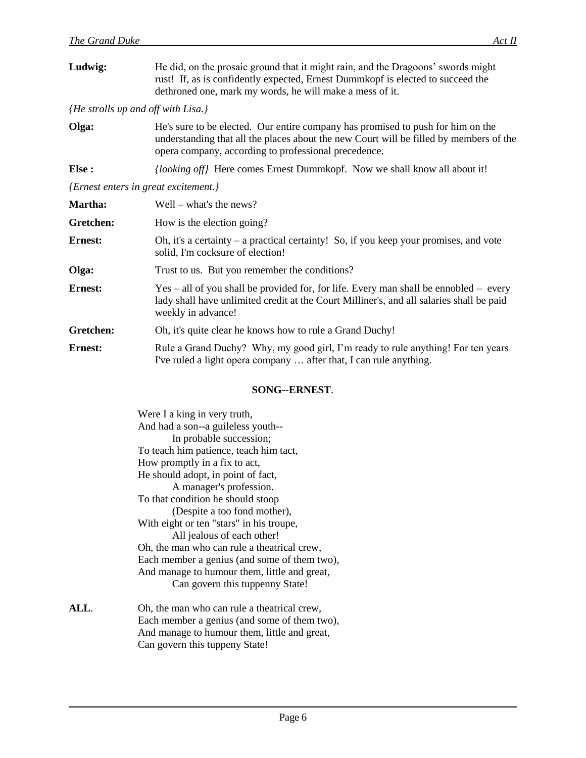| Ludwig:                                     | He did, on the prosaic ground that it might rain, and the Dragoons' swords might<br>rust! If, as is confidently expected, Ernest Dummkopf is elected to succeed the<br>dethroned one, mark my words, he will make a mess of it.   |
|---------------------------------------------|-----------------------------------------------------------------------------------------------------------------------------------------------------------------------------------------------------------------------------------|
| {He strolls up and off with Lisa.}          |                                                                                                                                                                                                                                   |
| Olga:                                       | He's sure to be elected. Our entire company has promised to push for him on the<br>understanding that all the places about the new Court will be filled by members of the<br>opera company, according to professional precedence. |
| Else :                                      | <i>{looking off}</i> Here comes Ernest Dummkopf. Now we shall know all about it!                                                                                                                                                  |
| <i>{Ernest enters in great excitement.}</i> |                                                                                                                                                                                                                                   |
| Martha:                                     | Well – what's the news?                                                                                                                                                                                                           |
| Gretchen:                                   | How is the election going?                                                                                                                                                                                                        |
| <b>Ernest:</b>                              | Oh, it's a certainty – a practical certainty! So, if you keep your promises, and vote<br>solid, I'm cocksure of election!                                                                                                         |
| Olga:                                       | Trust to us. But you remember the conditions?                                                                                                                                                                                     |
| <b>Ernest:</b>                              | $Yes - all of you shall be provided for, for life. Every man shall be ennobled - every$<br>lady shall have unlimited credit at the Court Milliner's, and all salaries shall be paid<br>weekly in advance!                         |
| Gretchen:                                   | Oh, it's quite clear he knows how to rule a Grand Duchy!                                                                                                                                                                          |
| <b>Ernest:</b>                              | Rule a Grand Duchy? Why, my good girl, I'm ready to rule anything! For ten years<br>I've ruled a light opera company  after that, I can rule anything.                                                                            |
|                                             |                                                                                                                                                                                                                                   |

#### **SONG--ERNEST**.

|      | Were I a king in very truth,                 |
|------|----------------------------------------------|
|      | And had a son--a guileless youth--           |
|      | In probable succession;                      |
|      | To teach him patience, teach him tact,       |
|      | How promptly in a fix to act,                |
|      | He should adopt, in point of fact,           |
|      | A manager's profession.                      |
|      | To that condition he should stoop            |
|      | (Despite a too fond mother),                 |
|      | With eight or ten "stars" in his troupe,     |
|      | All jealous of each other!                   |
|      | Oh, the man who can rule a theatrical crew,  |
|      | Each member a genius (and some of them two), |
|      | And manage to humour them, little and great, |
|      | Can govern this tuppenny State!              |
| ALL. | Oh, the man who can rule a theatrical crew,  |
|      | Each member a genius (and some of them two), |
|      | And manage to humour them, little and great, |
|      | Can govern this tuppeny State!               |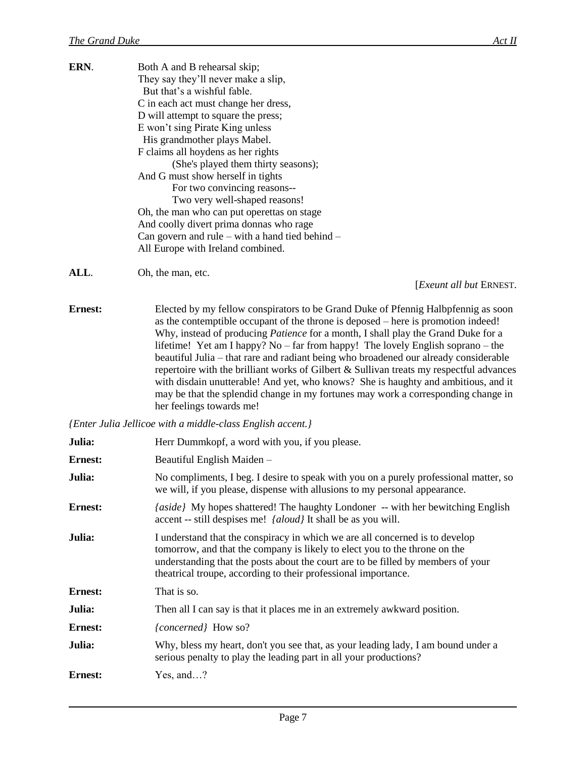| ERN.           | Both A and B rehearsal skip;                                                                                                                                                                                                                                                                                                                                                                                                                                                                                                                                                                                                      |
|----------------|-----------------------------------------------------------------------------------------------------------------------------------------------------------------------------------------------------------------------------------------------------------------------------------------------------------------------------------------------------------------------------------------------------------------------------------------------------------------------------------------------------------------------------------------------------------------------------------------------------------------------------------|
|                | They say they'll never make a slip,                                                                                                                                                                                                                                                                                                                                                                                                                                                                                                                                                                                               |
|                | But that's a wishful fable.                                                                                                                                                                                                                                                                                                                                                                                                                                                                                                                                                                                                       |
|                | C in each act must change her dress,                                                                                                                                                                                                                                                                                                                                                                                                                                                                                                                                                                                              |
|                | D will attempt to square the press;                                                                                                                                                                                                                                                                                                                                                                                                                                                                                                                                                                                               |
|                | E won't sing Pirate King unless                                                                                                                                                                                                                                                                                                                                                                                                                                                                                                                                                                                                   |
|                | His grandmother plays Mabel.<br>F claims all hoydens as her rights                                                                                                                                                                                                                                                                                                                                                                                                                                                                                                                                                                |
|                | (She's played them thirty seasons);                                                                                                                                                                                                                                                                                                                                                                                                                                                                                                                                                                                               |
|                | And G must show herself in tights                                                                                                                                                                                                                                                                                                                                                                                                                                                                                                                                                                                                 |
|                | For two convincing reasons--                                                                                                                                                                                                                                                                                                                                                                                                                                                                                                                                                                                                      |
|                | Two very well-shaped reasons!                                                                                                                                                                                                                                                                                                                                                                                                                                                                                                                                                                                                     |
|                | Oh, the man who can put operettas on stage                                                                                                                                                                                                                                                                                                                                                                                                                                                                                                                                                                                        |
|                | And coolly divert prima donnas who rage                                                                                                                                                                                                                                                                                                                                                                                                                                                                                                                                                                                           |
|                | Can govern and rule – with a hand tied behind –                                                                                                                                                                                                                                                                                                                                                                                                                                                                                                                                                                                   |
|                | All Europe with Ireland combined.                                                                                                                                                                                                                                                                                                                                                                                                                                                                                                                                                                                                 |
| ALL.           | Oh, the man, etc.                                                                                                                                                                                                                                                                                                                                                                                                                                                                                                                                                                                                                 |
|                | [Exeunt all but ERNEST.                                                                                                                                                                                                                                                                                                                                                                                                                                                                                                                                                                                                           |
|                |                                                                                                                                                                                                                                                                                                                                                                                                                                                                                                                                                                                                                                   |
| <b>Ernest:</b> | Elected by my fellow conspirators to be Grand Duke of Pfennig Halbpfennig as soon<br>as the contemptible occupant of the throne is deposed – here is promotion indeed!<br>Why, instead of producing <i>Patience</i> for a month, I shall play the Grand Duke for a<br>lifetime! Yet am I happy? No – far from happy! The lovely English soprano – the<br>beautiful Julia - that rare and radiant being who broadened our already considerable<br>repertoire with the brilliant works of Gilbert $\&$ Sullivan treats my respectful advances<br>with disdain unutterable! And yet, who knows? She is haughty and ambitious, and it |
|                | may be that the splendid change in my fortunes may work a corresponding change in<br>her feelings towards me!                                                                                                                                                                                                                                                                                                                                                                                                                                                                                                                     |
|                | {Enter Julia Jellicoe with a middle-class English accent.}                                                                                                                                                                                                                                                                                                                                                                                                                                                                                                                                                                        |
| Julia:         | Herr Dummkopf, a word with you, if you please.                                                                                                                                                                                                                                                                                                                                                                                                                                                                                                                                                                                    |
| <b>Ernest:</b> | Beautiful English Maiden -                                                                                                                                                                                                                                                                                                                                                                                                                                                                                                                                                                                                        |
| Julia:         | No compliments, I beg. I desire to speak with you on a purely professional matter, so<br>we will, if you please, dispense with allusions to my personal appearance.                                                                                                                                                                                                                                                                                                                                                                                                                                                               |
| <b>Ernest:</b> | <i>{aside}</i> My hopes shattered! The haughty Londoner -- with her bewitching English<br>accent -- still despises me! <i>{aloud}</i> It shall be as you will.                                                                                                                                                                                                                                                                                                                                                                                                                                                                    |
| Julia:         | I understand that the conspiracy in which we are all concerned is to develop<br>tomorrow, and that the company is likely to elect you to the throne on the<br>understanding that the posts about the court are to be filled by members of your<br>theatrical troupe, according to their professional importance.                                                                                                                                                                                                                                                                                                                  |
| <b>Ernest:</b> | That is so.                                                                                                                                                                                                                                                                                                                                                                                                                                                                                                                                                                                                                       |
| Julia:         | Then all I can say is that it places me in an extremely awkward position.                                                                                                                                                                                                                                                                                                                                                                                                                                                                                                                                                         |
| <b>Ernest:</b> | <i>{concerned}</i> How so?                                                                                                                                                                                                                                                                                                                                                                                                                                                                                                                                                                                                        |
| Julia:         | Why, bless my heart, don't you see that, as your leading lady, I am bound under a<br>serious penalty to play the leading part in all your productions?                                                                                                                                                                                                                                                                                                                                                                                                                                                                            |
| <b>Ernest:</b> | Yes, and $\ldots$ ?                                                                                                                                                                                                                                                                                                                                                                                                                                                                                                                                                                                                               |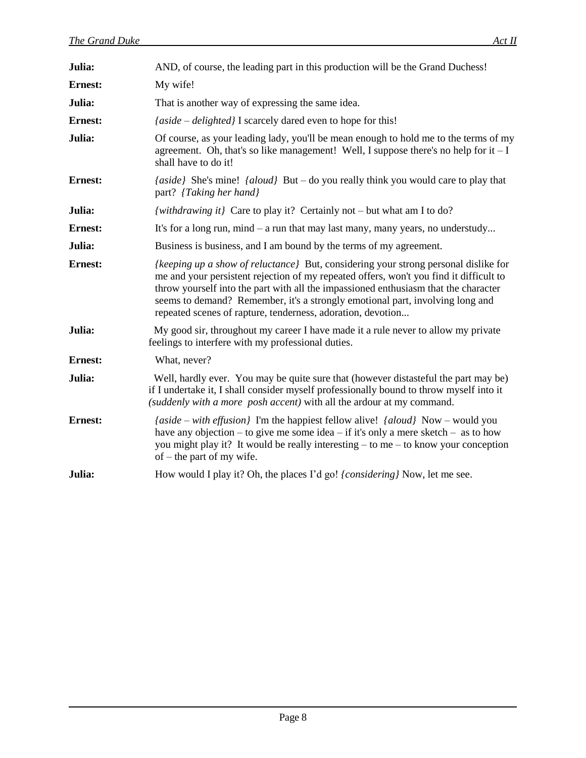| <b>Ernest:</b><br>My wife!<br>Julia:<br>That is another way of expressing the same idea.<br><b>Ernest:</b><br>${aside - delighted}$ I scarcely dared even to hope for this!<br>Julia:<br>Of course, as your leading lady, you'll be mean enough to hold me to the terms of my<br>agreement. Oh, that's so like management! Well, I suppose there's no help for it $-1$<br>shall have to do it!                                                |  |
|-----------------------------------------------------------------------------------------------------------------------------------------------------------------------------------------------------------------------------------------------------------------------------------------------------------------------------------------------------------------------------------------------------------------------------------------------|--|
|                                                                                                                                                                                                                                                                                                                                                                                                                                               |  |
|                                                                                                                                                                                                                                                                                                                                                                                                                                               |  |
|                                                                                                                                                                                                                                                                                                                                                                                                                                               |  |
|                                                                                                                                                                                                                                                                                                                                                                                                                                               |  |
| <b>Ernest:</b><br><i>(aside)</i> She's mine! <i>{aloud}</i> But – do you really think you would care to play that<br>part? {Taking her hand}                                                                                                                                                                                                                                                                                                  |  |
| Julia:<br><i>{withdrawing it}</i> Care to play it? Certainly not – but what am I to do?                                                                                                                                                                                                                                                                                                                                                       |  |
| <b>Ernest:</b><br>It's for a long run, $mind - a$ run that may last many, many years, no understudy                                                                                                                                                                                                                                                                                                                                           |  |
| Julia:<br>Business is business, and I am bound by the terms of my agreement.                                                                                                                                                                                                                                                                                                                                                                  |  |
| <b>Ernest:</b><br><i>{keeping up a show of reluctance}</i> But, considering your strong personal dislike for<br>me and your persistent rejection of my repeated offers, won't you find it difficult to<br>throw yourself into the part with all the impassioned enthusiasm that the character<br>seems to demand? Remember, it's a strongly emotional part, involving long and<br>repeated scenes of rapture, tenderness, adoration, devotion |  |
| Julia:<br>My good sir, throughout my career I have made it a rule never to allow my private<br>feelings to interfere with my professional duties.                                                                                                                                                                                                                                                                                             |  |
| <b>Ernest:</b><br>What, never?                                                                                                                                                                                                                                                                                                                                                                                                                |  |
| Julia:<br>Well, hardly ever. You may be quite sure that (however distasteful the part may be)<br>if I undertake it, I shall consider myself professionally bound to throw myself into it<br>(suddenly with a more posh accent) with all the ardour at my command.                                                                                                                                                                             |  |
| <b>Ernest:</b><br>$\{aside - with effusion\}$ I'm the happiest fellow alive! $\{aload\}$ Now – would you<br>have any objection – to give me some idea – if it's only a mere sketch – as to how<br>you might play it? It would be really interesting $-$ to me $-$ to know your conception<br>of $-$ the part of my wife.                                                                                                                      |  |
| Julia:<br>How would I play it? Oh, the places I'd go! {considering} Now, let me see.                                                                                                                                                                                                                                                                                                                                                          |  |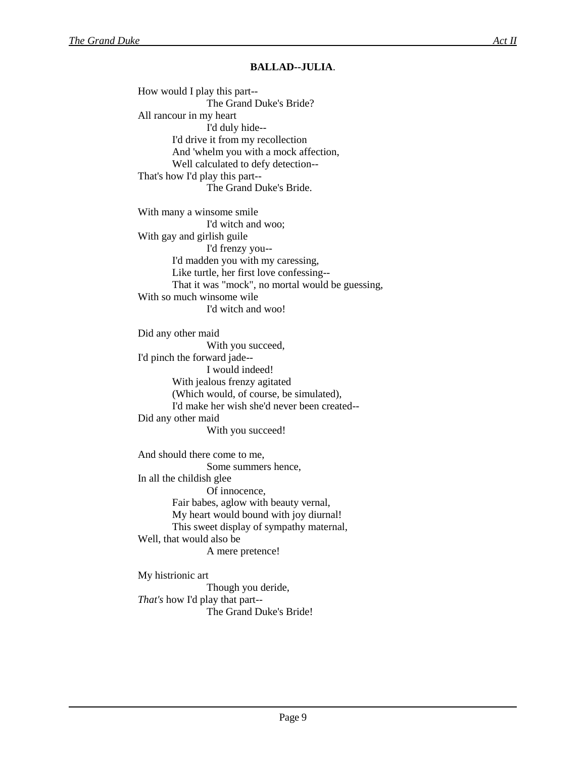#### **BALLAD--JULIA**.

How would I play this part-- The Grand Duke's Bride? All rancour in my heart I'd duly hide-- I'd drive it from my recollection And 'whelm you with a mock affection, Well calculated to defy detection-- That's how I'd play this part-- The Grand Duke's Bride. With many a winsome smile I'd witch and woo; With gay and girlish guile I'd frenzy you-- I'd madden you with my caressing, Like turtle, her first love confessing-- That it was "mock", no mortal would be guessing, With so much winsome wile I'd witch and woo! Did any other maid With you succeed, I'd pinch the forward jade-- I would indeed! With jealous frenzy agitated (Which would, of course, be simulated), I'd make her wish she'd never been created-- Did any other maid With you succeed! And should there come to me, Some summers hence, In all the childish glee Of innocence, Fair babes, aglow with beauty vernal, My heart would bound with joy diurnal! This sweet display of sympathy maternal, Well, that would also be A mere pretence! My histrionic art Though you deride,

*That's* how I'd play that part-- The Grand Duke's Bride!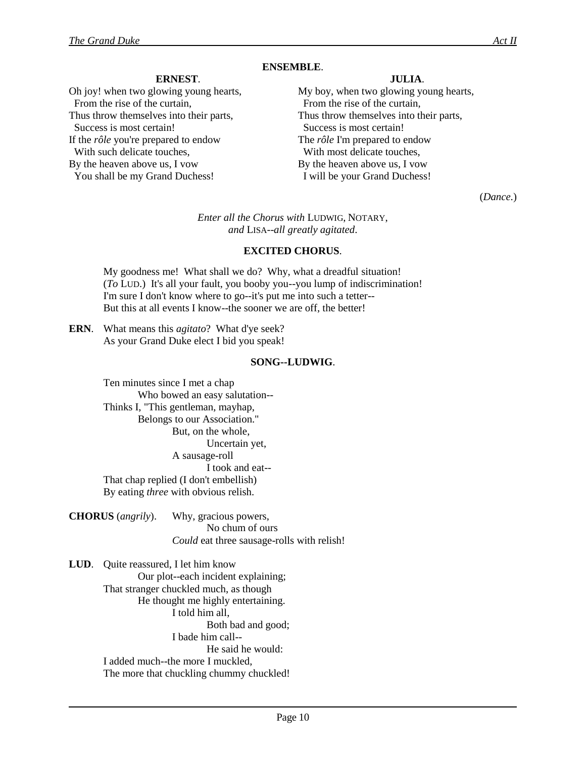#### **ENSEMBLE**.

#### **ERNEST**. **JULIA**.

From the rise of the curtain, From the rise of the curtain, Thus throw themselves into their parts, Thus throw themselves into their parts, Success is most certain!<br>
Success is most certain! If the *rôle* you're prepared to endow The *rôle* I'm prepared to endow With such delicate touches,<br>By the heaven above us, I vow By the heaven above us, I vow By the heaven above us, I vow You shall be my Grand Duchess! I will be your Grand Duchess!

Oh joy! when two glowing young hearts, My boy, when two glowing young hearts,

(*Dance.*)

*Enter all the Chorus with* LUDWIG, NOTARY, *and* LISA--*all greatly agitated*.

#### **EXCITED CHORUS**.

My goodness me! What shall we do? Why, what a dreadful situation! (*To* LUD.) It's all your fault, you booby you--you lump of indiscrimination! I'm sure I don't know where to go--it's put me into such a tetter-- But this at all events I know--the sooner we are off, the better!

**ERN**. What means this *agitato*? What d'ye seek? As your Grand Duke elect I bid you speak!

#### **SONG--LUDWIG**.

Ten minutes since I met a chap Who bowed an easy salutation-- Thinks I, "This gentleman, mayhap, Belongs to our Association." But, on the whole, Uncertain yet, A sausage-roll I took and eat-- That chap replied (I don't embellish) By eating *three* with obvious relish.

**CHORUS** (*angrily*). Why, gracious powers, No chum of ours *Could* eat three sausage-rolls with relish!

**LUD**. Quite reassured, I let him know Our plot--each incident explaining; That stranger chuckled much, as though He thought me highly entertaining. I told him all, Both bad and good; I bade him call-- He said he would: I added much--the more I muckled, The more that chuckling chummy chuckled!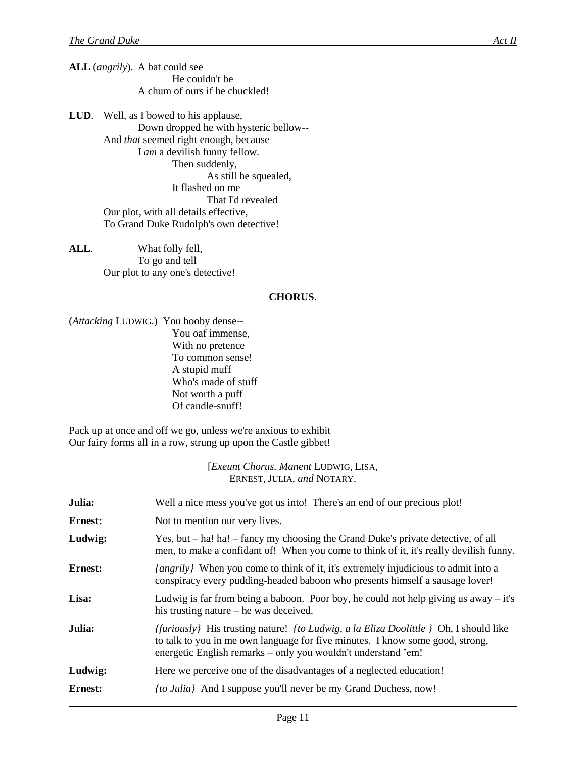**ALL** (*angrily*). A bat could see He couldn't be A chum of ours if he chuckled!

**LUD**. Well, as I bowed to his applause, Down dropped he with hysteric bellow-- And *that* seemed right enough, because I *am* a devilish funny fellow. Then suddenly, As still he squealed, It flashed on me That I'd revealed Our plot, with all details effective, To Grand Duke Rudolph's own detective!

**ALL**. What folly fell, To go and tell Our plot to any one's detective!

#### **CHORUS**.

(*Attacking* LUDWIG.) You booby dense-- You oaf immense, With no pretence To common sense! A stupid muff Who's made of stuff Not worth a puff Of candle-snuff!

Pack up at once and off we go, unless we're anxious to exhibit Our fairy forms all in a row, strung up upon the Castle gibbet!

<sup>[</sup>*Exeunt Chorus. Manent* LUDWIG, LISA, ERNEST, JULIA, *and* NOTARY.

| Julia:         | Well a nice mess you've got us into! There's an end of our precious plot!                                                                                                                                                                             |
|----------------|-------------------------------------------------------------------------------------------------------------------------------------------------------------------------------------------------------------------------------------------------------|
| <b>Ernest:</b> | Not to mention our very lives.                                                                                                                                                                                                                        |
| Ludwig:        | Yes, but – ha! ha! – fancy my choosing the Grand Duke's private detective, of all<br>men, to make a confidant of! When you come to think of it, it's really devilish funny.                                                                           |
| <b>Ernest:</b> | <i>{angrily}</i> When you come to think of it, it's extremely injudicious to admit into a<br>conspiracy every pudding-headed baboon who presents himself a sausage lover!                                                                             |
| Lisa:          | Ludwig is far from being a baboon. Poor boy, he could not help giving us away $-i$ t's<br>his trusting nature $-$ he was deceived.                                                                                                                    |
| Julia:         | <i>{furiously}</i> His trusting nature! <i>{to Ludwig, a la Eliza Doolittle }</i> Oh, I should like<br>to talk to you in me own language for five minutes. I know some good, strong,<br>energetic English remarks – only you wouldn't understand 'em! |
| Ludwig:        | Here we perceive one of the disadvantages of a neglected education!                                                                                                                                                                                   |
| <b>Ernest:</b> | <i>{to Julia}</i> And I suppose you'll never be my Grand Duchess, now!                                                                                                                                                                                |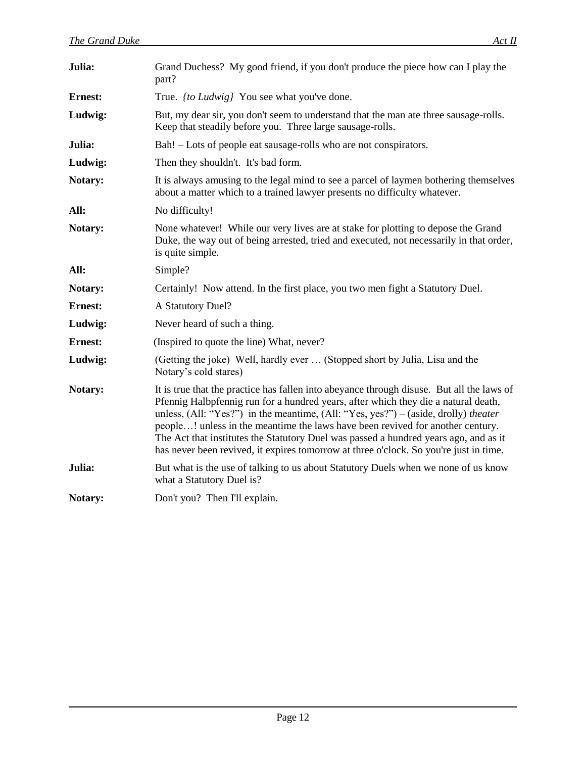| Julia:         | Grand Duchess? My good friend, if you don't produce the piece how can I play the<br>part?                                                                                                                                                                                                                                                                                                                                                                                                                                                  |
|----------------|--------------------------------------------------------------------------------------------------------------------------------------------------------------------------------------------------------------------------------------------------------------------------------------------------------------------------------------------------------------------------------------------------------------------------------------------------------------------------------------------------------------------------------------------|
| <b>Ernest:</b> | True. <i>{to Ludwig}</i> You see what you've done.                                                                                                                                                                                                                                                                                                                                                                                                                                                                                         |
| Ludwig:        | But, my dear sir, you don't seem to understand that the man ate three sausage-rolls.<br>Keep that steadily before you. Three large sausage-rolls.                                                                                                                                                                                                                                                                                                                                                                                          |
| Julia:         | Bah! – Lots of people eat sausage-rolls who are not conspirators.                                                                                                                                                                                                                                                                                                                                                                                                                                                                          |
| Ludwig:        | Then they shouldn't. It's bad form.                                                                                                                                                                                                                                                                                                                                                                                                                                                                                                        |
| Notary:        | It is always amusing to the legal mind to see a parcel of laymen bothering themselves<br>about a matter which to a trained lawyer presents no difficulty whatever.                                                                                                                                                                                                                                                                                                                                                                         |
| All:           | No difficulty!                                                                                                                                                                                                                                                                                                                                                                                                                                                                                                                             |
| Notary:        | None whatever! While our very lives are at stake for plotting to depose the Grand<br>Duke, the way out of being arrested, tried and executed, not necessarily in that order,<br>is quite simple.                                                                                                                                                                                                                                                                                                                                           |
| All:           | Simple?                                                                                                                                                                                                                                                                                                                                                                                                                                                                                                                                    |
| Notary:        | Certainly! Now attend. In the first place, you two men fight a Statutory Duel.                                                                                                                                                                                                                                                                                                                                                                                                                                                             |
| <b>Ernest:</b> | A Statutory Duel?                                                                                                                                                                                                                                                                                                                                                                                                                                                                                                                          |
| Ludwig:        | Never heard of such a thing.                                                                                                                                                                                                                                                                                                                                                                                                                                                                                                               |
| <b>Ernest:</b> | (Inspired to quote the line) What, never?                                                                                                                                                                                                                                                                                                                                                                                                                                                                                                  |
| Ludwig:        | (Getting the joke) Well, hardly ever  (Stopped short by Julia, Lisa and the<br>Notary's cold stares)                                                                                                                                                                                                                                                                                                                                                                                                                                       |
| Notary:        | It is true that the practice has fallen into abeyance through disuse. But all the laws of<br>Pfennig Halbpfennig run for a hundred years, after which they die a natural death,<br>unless, (All: "Yes?") in the meantime, (All: "Yes, yes?") – (aside, drolly) theater<br>people! unless in the meantime the laws have been revived for another century.<br>The Act that institutes the Statutory Duel was passed a hundred years ago, and as it<br>has never been revived, it expires to morrow at three o'clock. So you're just in time. |
| Julia:         | But what is the use of talking to us about Statutory Duels when we none of us know<br>what a Statutory Duel is?                                                                                                                                                                                                                                                                                                                                                                                                                            |
| Notary:        | Don't you? Then I'll explain.                                                                                                                                                                                                                                                                                                                                                                                                                                                                                                              |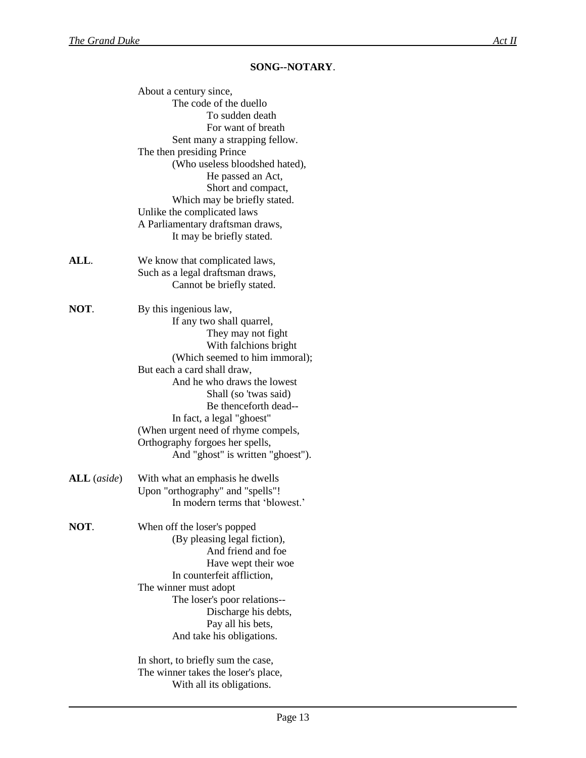## **SONG--NOTARY**.

|               | About a century since,              |
|---------------|-------------------------------------|
|               | The code of the duello              |
|               | To sudden death                     |
|               | For want of breath                  |
|               | Sent many a strapping fellow.       |
|               | The then presiding Prince           |
|               |                                     |
|               | (Who useless bloodshed hated),      |
|               | He passed an Act,                   |
|               | Short and compact,                  |
|               | Which may be briefly stated.        |
|               | Unlike the complicated laws         |
|               | A Parliamentary draftsman draws,    |
|               | It may be briefly stated.           |
| ALL.          | We know that complicated laws,      |
|               | Such as a legal draftsman draws,    |
|               | Cannot be briefly stated.           |
| NOT.          | By this ingenious law,              |
|               | If any two shall quarrel,           |
|               | They may not fight                  |
|               | With falchions bright               |
|               | (Which seemed to him immoral);      |
|               | But each a card shall draw,         |
|               | And he who draws the lowest         |
|               | Shall (so 'twas said)               |
|               | Be thenceforth dead--               |
|               | In fact, a legal "ghoest"           |
|               | (When urgent need of rhyme compels, |
|               | Orthography forgoes her spells,     |
|               |                                     |
|               | And "ghost" is written "ghoest").   |
| $ALL$ (aside) | With what an emphasis he dwells     |
|               | Upon "orthography" and "spells"!    |
|               | In modern terms that 'blowest.'     |
| NOT.          | When off the loser's popped         |
|               | (By pleasing legal fiction),        |
|               | And friend and foe                  |
|               | Have wept their woe                 |
|               | In counterfeit affliction,          |
|               | The winner must adopt               |
|               | The loser's poor relations--        |
|               | Discharge his debts,                |
|               | Pay all his bets,                   |
|               | And take his obligations.           |
|               | In short, to briefly sum the case,  |
|               | The winner takes the loser's place, |
|               | With all its obligations.           |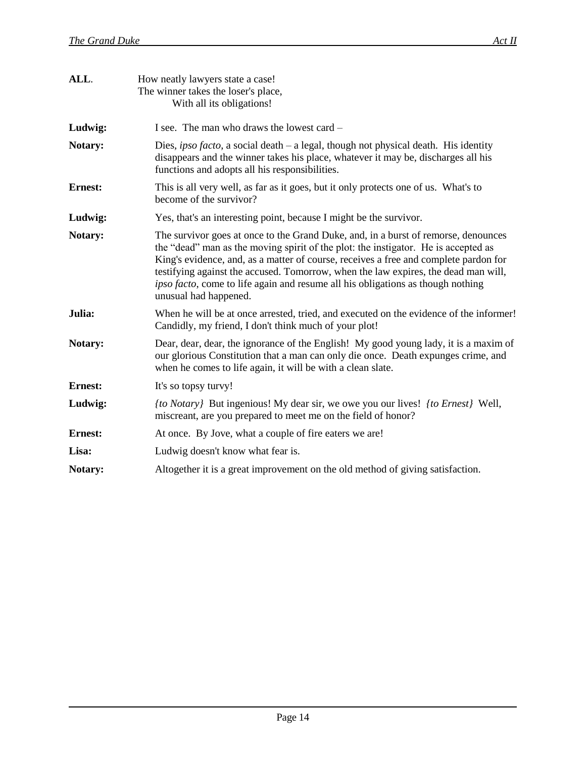| ALL.           | How neatly lawyers state a case!<br>The winner takes the loser's place,<br>With all its obligations!                                                                                                                                                                                                                                                                                                                                                               |
|----------------|--------------------------------------------------------------------------------------------------------------------------------------------------------------------------------------------------------------------------------------------------------------------------------------------------------------------------------------------------------------------------------------------------------------------------------------------------------------------|
| Ludwig:        | I see. The man who draws the lowest card –                                                                                                                                                                                                                                                                                                                                                                                                                         |
| Notary:        | Dies, <i>ipso facto</i> , a social death – a legal, though not physical death. His identity<br>disappears and the winner takes his place, whatever it may be, discharges all his<br>functions and adopts all his responsibilities.                                                                                                                                                                                                                                 |
| <b>Ernest:</b> | This is all very well, as far as it goes, but it only protects one of us. What's to<br>become of the survivor?                                                                                                                                                                                                                                                                                                                                                     |
| Ludwig:        | Yes, that's an interesting point, because I might be the survivor.                                                                                                                                                                                                                                                                                                                                                                                                 |
| Notary:        | The survivor goes at once to the Grand Duke, and, in a burst of remorse, denounces<br>the "dead" man as the moving spirit of the plot: the instigator. He is accepted as<br>King's evidence, and, as a matter of course, receives a free and complete pardon for<br>testifying against the accused. Tomorrow, when the law expires, the dead man will,<br>ipso facto, come to life again and resume all his obligations as though nothing<br>unusual had happened. |
| Julia:         | When he will be at once arrested, tried, and executed on the evidence of the informer!<br>Candidly, my friend, I don't think much of your plot!                                                                                                                                                                                                                                                                                                                    |
| Notary:        | Dear, dear, dear, the ignorance of the English! My good young lady, it is a maxim of<br>our glorious Constitution that a man can only die once. Death expunges crime, and<br>when he comes to life again, it will be with a clean slate.                                                                                                                                                                                                                           |
| <b>Ernest:</b> | It's so topsy turvy!                                                                                                                                                                                                                                                                                                                                                                                                                                               |
| Ludwig:        | <i>{to Notary}</i> But ingenious! My dear sir, we owe you our lives! <i>{to Ernest}</i> Well,<br>miscreant, are you prepared to meet me on the field of honor?                                                                                                                                                                                                                                                                                                     |
| <b>Ernest:</b> | At once. By Jove, what a couple of fire eaters we are!                                                                                                                                                                                                                                                                                                                                                                                                             |
| Lisa:          | Ludwig doesn't know what fear is.                                                                                                                                                                                                                                                                                                                                                                                                                                  |
| Notary:        | Altogether it is a great improvement on the old method of giving satisfaction.                                                                                                                                                                                                                                                                                                                                                                                     |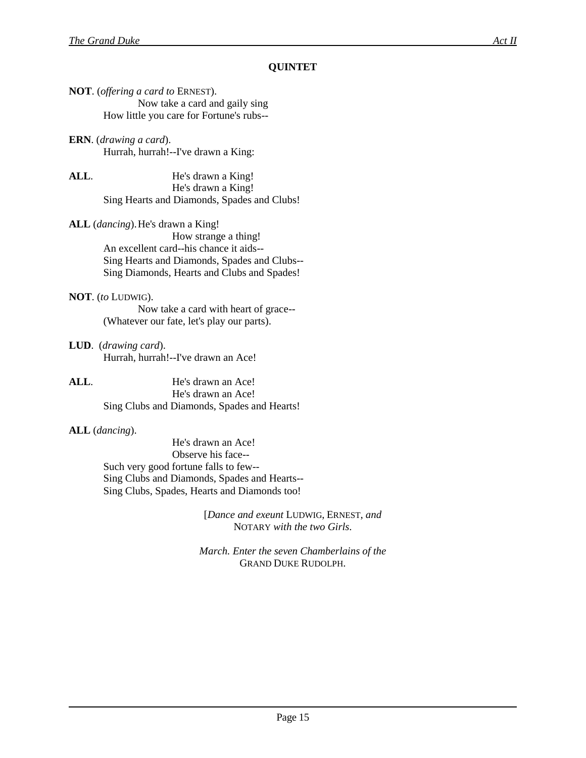## **QUINTET**

**NOT**. (*offering a card to* ERNEST). Now take a card and gaily sing How little you care for Fortune's rubs--

**ERN**. (*drawing a card*). Hurrah, hurrah!--I've drawn a King:

**ALL**. He's drawn a King! He's drawn a King! Sing Hearts and Diamonds, Spades and Clubs!

**ALL** (*dancing*).He's drawn a King! How strange a thing! An excellent card--his chance it aids-- Sing Hearts and Diamonds, Spades and Clubs-- Sing Diamonds, Hearts and Clubs and Spades!

#### **NOT**. (*to* LUDWIG).

Now take a card with heart of grace-- (Whatever our fate, let's play our parts).

- **LUD**. (*drawing card*). Hurrah, hurrah!--I've drawn an Ace!
- **ALL**. He's drawn an Ace! He's drawn an Ace! Sing Clubs and Diamonds, Spades and Hearts!

### **ALL** (*dancing*).

He's drawn an Ace! Observe his face-- Such very good fortune falls to few-- Sing Clubs and Diamonds, Spades and Hearts-- Sing Clubs, Spades, Hearts and Diamonds too!

> [*Dance and exeunt* LUDWIG, ERNEST, *and* NOTARY *with the two Girls*.

*March. Enter the seven Chamberlains of the* GRAND DUKE RUDOLPH.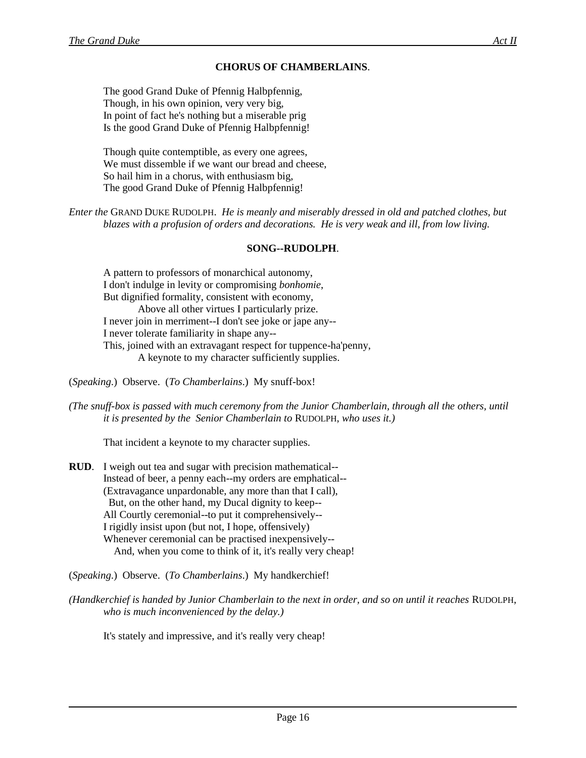The good Grand Duke of Pfennig Halbpfennig, Though, in his own opinion, very very big, In point of fact he's nothing but a miserable prig Is the good Grand Duke of Pfennig Halbpfennig!

Though quite contemptible, as every one agrees, We must dissemble if we want our bread and cheese, So hail him in a chorus, with enthusiasm big, The good Grand Duke of Pfennig Halbpfennig!

*Enter the* GRAND DUKE RUDOLPH. *He is meanly and miserably dressed in old and patched clothes, but blazes with a profusion of orders and decorations. He is very weak and ill, from low living.*

#### **SONG--RUDOLPH**.

A pattern to professors of monarchical autonomy, I don't indulge in levity or compromising *bonhomie*, But dignified formality, consistent with economy, Above all other virtues I particularly prize. I never join in merriment--I don't see joke or jape any-- I never tolerate familiarity in shape any-- This, joined with an extravagant respect for tuppence-ha'penny, A keynote to my character sufficiently supplies.

(*Speaking*.) Observe. (*To Chamberlains*.) My snuff-box!

*(The snuff-box is passed with much ceremony from the Junior Chamberlain, through all the others, until it is presented by the Senior Chamberlain to* RUDOLPH, *who uses it.)*

That incident a keynote to my character supplies.

**RUD**. I weigh out tea and sugar with precision mathematical-- Instead of beer, a penny each--my orders are emphatical-- (Extravagance unpardonable, any more than that I call), But, on the other hand, my Ducal dignity to keep-- All Courtly ceremonial--to put it comprehensively-- I rigidly insist upon (but not, I hope, offensively) Whenever ceremonial can be practised inexpensively-- And, when you come to think of it, it's really very cheap!

(*Speaking*.) Observe. (*To Chamberlains*.) My handkerchief!

*(Handkerchief is handed by Junior Chamberlain to the next in order, and so on until it reaches* RUDOLPH, *who is much inconvenienced by the delay.)*

It's stately and impressive, and it's really very cheap!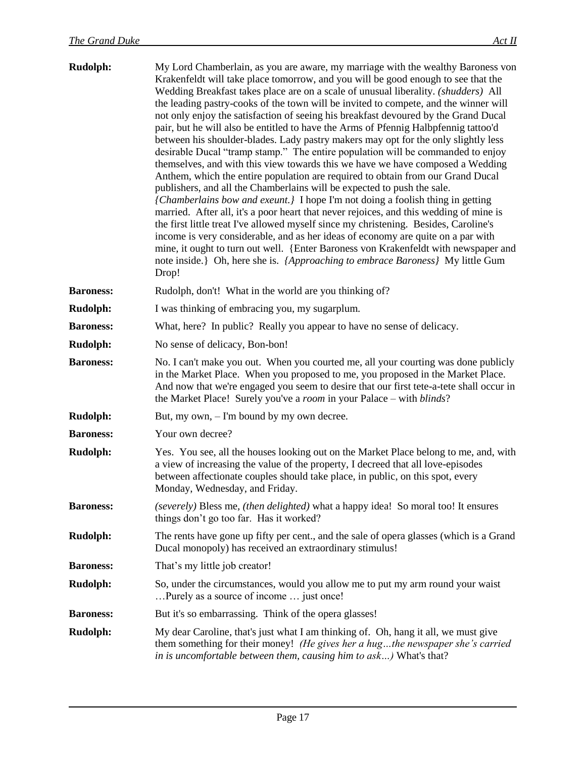| <b>Rudolph:</b>  | My Lord Chamberlain, as you are aware, my marriage with the wealthy Baroness von<br>Krakenfeldt will take place tomorrow, and you will be good enough to see that the<br>Wedding Breakfast takes place are on a scale of unusual liberality. (shudders) All<br>the leading pastry-cooks of the town will be invited to compete, and the winner will<br>not only enjoy the satisfaction of seeing his breakfast devoured by the Grand Ducal<br>pair, but he will also be entitled to have the Arms of Pfennig Halbpfennig tattoo'd<br>between his shoulder-blades. Lady pastry makers may opt for the only slightly less<br>desirable Ducal "tramp stamp." The entire population will be commanded to enjoy<br>themselves, and with this view towards this we have we have composed a Wedding<br>Anthem, which the entire population are required to obtain from our Grand Ducal<br>publishers, and all the Chamberlains will be expected to push the sale.<br>{Chamberlains bow and exeunt.} I hope I'm not doing a foolish thing in getting<br>married. After all, it's a poor heart that never rejoices, and this wedding of mine is<br>the first little treat I've allowed myself since my christening. Besides, Caroline's<br>income is very considerable, and as her ideas of economy are quite on a par with<br>mine, it ought to turn out well. {Enter Baroness von Krakenfeldt with newspaper and<br>note inside.} Oh, here she is. <i>{Approaching to embrace Baroness}</i> My little Gum<br>Drop! |
|------------------|-------------------------------------------------------------------------------------------------------------------------------------------------------------------------------------------------------------------------------------------------------------------------------------------------------------------------------------------------------------------------------------------------------------------------------------------------------------------------------------------------------------------------------------------------------------------------------------------------------------------------------------------------------------------------------------------------------------------------------------------------------------------------------------------------------------------------------------------------------------------------------------------------------------------------------------------------------------------------------------------------------------------------------------------------------------------------------------------------------------------------------------------------------------------------------------------------------------------------------------------------------------------------------------------------------------------------------------------------------------------------------------------------------------------------------------------------------------------------------------------------------------|
| <b>Baroness:</b> | Rudolph, don't! What in the world are you thinking of?                                                                                                                                                                                                                                                                                                                                                                                                                                                                                                                                                                                                                                                                                                                                                                                                                                                                                                                                                                                                                                                                                                                                                                                                                                                                                                                                                                                                                                                      |
| <b>Rudolph:</b>  | I was thinking of embracing you, my sugarplum.                                                                                                                                                                                                                                                                                                                                                                                                                                                                                                                                                                                                                                                                                                                                                                                                                                                                                                                                                                                                                                                                                                                                                                                                                                                                                                                                                                                                                                                              |
| <b>Baroness:</b> | What, here? In public? Really you appear to have no sense of delicacy.                                                                                                                                                                                                                                                                                                                                                                                                                                                                                                                                                                                                                                                                                                                                                                                                                                                                                                                                                                                                                                                                                                                                                                                                                                                                                                                                                                                                                                      |
| <b>Rudolph:</b>  | No sense of delicacy, Bon-bon!                                                                                                                                                                                                                                                                                                                                                                                                                                                                                                                                                                                                                                                                                                                                                                                                                                                                                                                                                                                                                                                                                                                                                                                                                                                                                                                                                                                                                                                                              |
| <b>Baroness:</b> | No. I can't make you out. When you courted me, all your courting was done publicly<br>in the Market Place. When you proposed to me, you proposed in the Market Place.<br>And now that we're engaged you seem to desire that our first tete-a-tete shall occur in<br>the Market Place! Surely you've a <i>room</i> in your Palace – with <i>blinds</i> ?                                                                                                                                                                                                                                                                                                                                                                                                                                                                                                                                                                                                                                                                                                                                                                                                                                                                                                                                                                                                                                                                                                                                                     |
| <b>Rudolph:</b>  | But, my own, – I'm bound by my own decree.                                                                                                                                                                                                                                                                                                                                                                                                                                                                                                                                                                                                                                                                                                                                                                                                                                                                                                                                                                                                                                                                                                                                                                                                                                                                                                                                                                                                                                                                  |
| <b>Baroness:</b> | Your own decree?                                                                                                                                                                                                                                                                                                                                                                                                                                                                                                                                                                                                                                                                                                                                                                                                                                                                                                                                                                                                                                                                                                                                                                                                                                                                                                                                                                                                                                                                                            |
| <b>Rudolph:</b>  | Yes. You see, all the houses looking out on the Market Place belong to me, and, with<br>a view of increasing the value of the property, I decreed that all love-episodes<br>between affectionate couples should take place, in public, on this spot, every<br>Monday, Wednesday, and Friday.                                                                                                                                                                                                                                                                                                                                                                                                                                                                                                                                                                                                                                                                                                                                                                                                                                                                                                                                                                                                                                                                                                                                                                                                                |
| <b>Baroness:</b> | (severely) Bless me, (then delighted) what a happy idea! So moral too! It ensures<br>things don't go too far. Has it worked?                                                                                                                                                                                                                                                                                                                                                                                                                                                                                                                                                                                                                                                                                                                                                                                                                                                                                                                                                                                                                                                                                                                                                                                                                                                                                                                                                                                |
| <b>Rudolph:</b>  | The rents have gone up fifty per cent., and the sale of opera glasses (which is a Grand<br>Ducal monopoly) has received an extraordinary stimulus!                                                                                                                                                                                                                                                                                                                                                                                                                                                                                                                                                                                                                                                                                                                                                                                                                                                                                                                                                                                                                                                                                                                                                                                                                                                                                                                                                          |
| <b>Baroness:</b> | That's my little job creator!                                                                                                                                                                                                                                                                                                                                                                                                                                                                                                                                                                                                                                                                                                                                                                                                                                                                                                                                                                                                                                                                                                                                                                                                                                                                                                                                                                                                                                                                               |
| <b>Rudolph:</b>  | So, under the circumstances, would you allow me to put my arm round your waist<br>Purely as a source of income  just once!                                                                                                                                                                                                                                                                                                                                                                                                                                                                                                                                                                                                                                                                                                                                                                                                                                                                                                                                                                                                                                                                                                                                                                                                                                                                                                                                                                                  |
| <b>Baroness:</b> | But it's so embarrassing. Think of the opera glasses!                                                                                                                                                                                                                                                                                                                                                                                                                                                                                                                                                                                                                                                                                                                                                                                                                                                                                                                                                                                                                                                                                                                                                                                                                                                                                                                                                                                                                                                       |
| <b>Rudolph:</b>  | My dear Caroline, that's just what I am thinking of. Oh, hang it all, we must give<br>them something for their money! (He gives her a hugthe newspaper she's carried<br>in is uncomfortable between them, causing him to ask) What's that?                                                                                                                                                                                                                                                                                                                                                                                                                                                                                                                                                                                                                                                                                                                                                                                                                                                                                                                                                                                                                                                                                                                                                                                                                                                                  |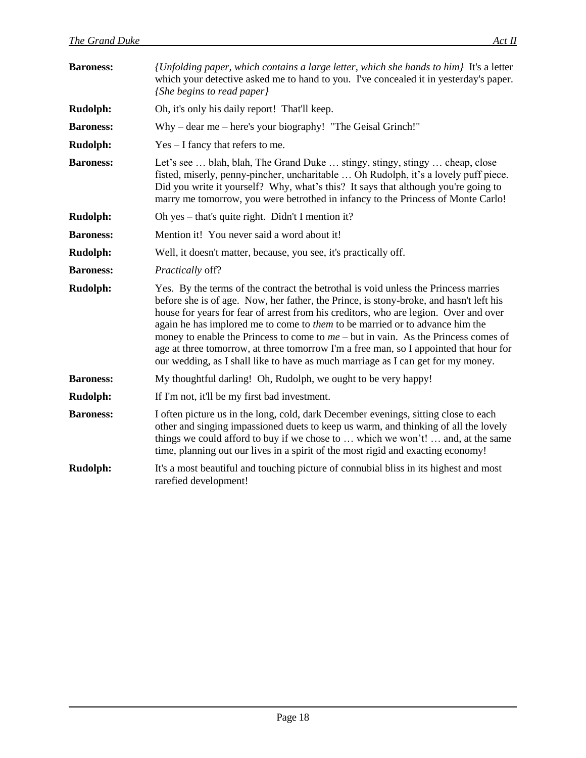| <b>Baroness:</b> | <i>{Unfolding paper, which contains a large letter, which she hands to him}</i> It's a letter<br>which your detective asked me to hand to you. I've concealed it in yesterday's paper.<br>{She begins to read paper}                                                                                                                                                                                                                                                                                                                                                                                                              |  |
|------------------|-----------------------------------------------------------------------------------------------------------------------------------------------------------------------------------------------------------------------------------------------------------------------------------------------------------------------------------------------------------------------------------------------------------------------------------------------------------------------------------------------------------------------------------------------------------------------------------------------------------------------------------|--|
| <b>Rudolph:</b>  | Oh, it's only his daily report! That'll keep.                                                                                                                                                                                                                                                                                                                                                                                                                                                                                                                                                                                     |  |
| <b>Baroness:</b> | $Why - dear me - here's your biography! "The Geisal Grinch!"$                                                                                                                                                                                                                                                                                                                                                                                                                                                                                                                                                                     |  |
| <b>Rudolph:</b>  | $Yes - I$ fancy that refers to me.                                                                                                                                                                                                                                                                                                                                                                                                                                                                                                                                                                                                |  |
| <b>Baroness:</b> | Let's see  blah, blah, The Grand Duke  stingy, stingy, stingy  cheap, close<br>fisted, miserly, penny-pincher, uncharitable  Oh Rudolph, it's a lovely puff piece.<br>Did you write it yourself? Why, what's this? It says that although you're going to<br>marry me tomorrow, you were betrothed in infancy to the Princess of Monte Carlo!                                                                                                                                                                                                                                                                                      |  |
| <b>Rudolph:</b>  | Oh yes – that's quite right. Didn't I mention it?                                                                                                                                                                                                                                                                                                                                                                                                                                                                                                                                                                                 |  |
| <b>Baroness:</b> | Mention it! You never said a word about it!                                                                                                                                                                                                                                                                                                                                                                                                                                                                                                                                                                                       |  |
| <b>Rudolph:</b>  | Well, it doesn't matter, because, you see, it's practically off.                                                                                                                                                                                                                                                                                                                                                                                                                                                                                                                                                                  |  |
| <b>Baroness:</b> | Practically off?                                                                                                                                                                                                                                                                                                                                                                                                                                                                                                                                                                                                                  |  |
| <b>Rudolph:</b>  | Yes. By the terms of the contract the betrothal is void unless the Princess marries<br>before she is of age. Now, her father, the Prince, is stony-broke, and hasn't left his<br>house for years for fear of arrest from his creditors, who are legion. Over and over<br>again he has implored me to come to <i>them</i> to be married or to advance him the<br>money to enable the Princess to come to $me$ – but in vain. As the Princess comes of<br>age at three tomorrow, at three tomorrow I'm a free man, so I appointed that hour for<br>our wedding, as I shall like to have as much marriage as I can get for my money. |  |
| <b>Baroness:</b> | My thoughtful darling! Oh, Rudolph, we ought to be very happy!                                                                                                                                                                                                                                                                                                                                                                                                                                                                                                                                                                    |  |
| <b>Rudolph:</b>  | If I'm not, it'll be my first bad investment.                                                                                                                                                                                                                                                                                                                                                                                                                                                                                                                                                                                     |  |
| <b>Baroness:</b> | I often picture us in the long, cold, dark December evenings, sitting close to each<br>other and singing impassioned duets to keep us warm, and thinking of all the lovely<br>things we could afford to buy if we chose to  which we won't!  and, at the same<br>time, planning out our lives in a spirit of the most rigid and exacting economy!                                                                                                                                                                                                                                                                                 |  |
| <b>Rudolph:</b>  | It's a most beautiful and touching picture of connubial bliss in its highest and most<br>rarefied development!                                                                                                                                                                                                                                                                                                                                                                                                                                                                                                                    |  |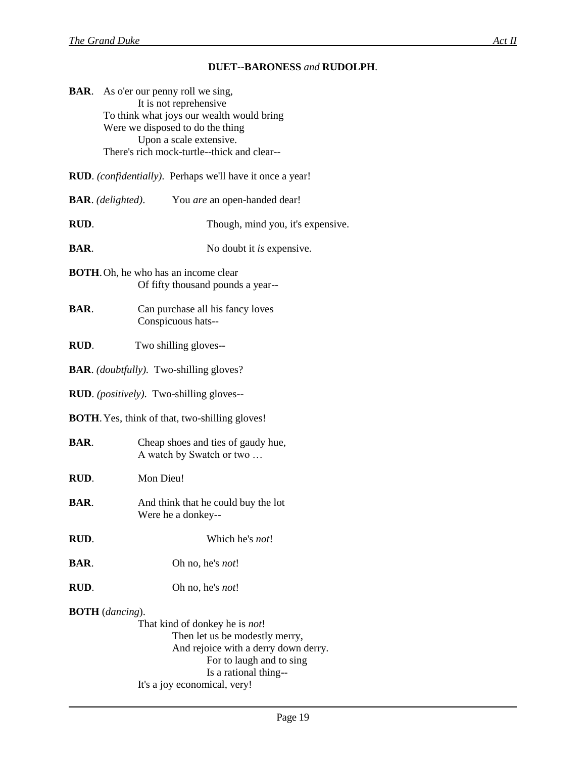#### **DUET--BARONESS** *and* **RUDOLPH**.

| <b>BAR.</b> As o'er our penny roll we sing, |
|---------------------------------------------|
| It is not reprehensive                      |
| To think what joys our wealth would bring   |
| Were we disposed to do the thing            |
| Upon a scale extensive.                     |
| There's rich mock-turtle--thick and clear-- |
|                                             |

**RUD**. *(confidentially)*. Perhaps we'll have it once a year!

**BAR**. *(delighted)*. You *are* an open-handed dear!

**RUD.** Though, mind you, it's expensive.

- **BAR.** No doubt it *is* expensive.
- **BOTH**.Oh, he who has an income clear Of fifty thousand pounds a year--
- **BAR.** Can purchase all his fancy loves Conspicuous hats--
- **RUD**. Two shilling gloves--
- **BAR**. *(doubtfully).* Two-shilling gloves?
- **RUD**. *(positively)*. Two-shilling gloves--
- **BOTH**.Yes, think of that, two-shilling gloves!
- **BAR.** Cheap shoes and ties of gaudy hue, A watch by Swatch or two …
- **RUD**. Mon Dieu!
- **BAR.** And think that he could buy the lot Were he a donkey--
- **RUD**. Which he's *not*!
- **BAR**. Oh no, he's *not*!
- **RUD**. Oh no, he's *not*!

#### **BOTH** (*dancing*).

That kind of donkey he is *not*! Then let us be modestly merry, And rejoice with a derry down derry. For to laugh and to sing Is a rational thing-- It's a joy economical, very!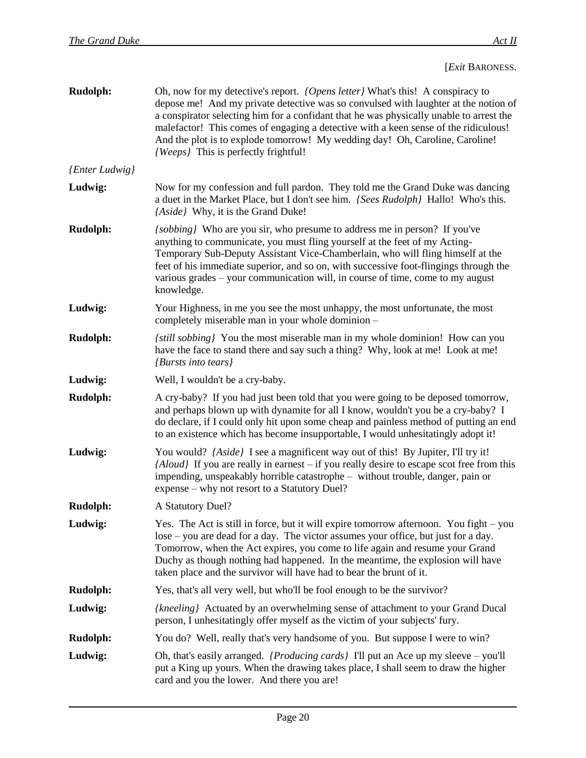#### [*Exit* BARONESS.

| <b>Rudolph:</b>       | Oh, now for my detective's report. <i>{Opens letter}</i> What's this! A conspiracy to<br>depose me! And my private detective was so convulsed with laughter at the notion of<br>a conspirator selecting him for a confidant that he was physically unable to arrest the<br>malefactor! This comes of engaging a detective with a keen sense of the ridiculous!<br>And the plot is to explode tomorrow! My wedding day! Oh, Caroline, Caroline!<br><i>{Weeps}</i> This is perfectly frightful! |  |
|-----------------------|-----------------------------------------------------------------------------------------------------------------------------------------------------------------------------------------------------------------------------------------------------------------------------------------------------------------------------------------------------------------------------------------------------------------------------------------------------------------------------------------------|--|
| <i>{Enter Ludwig}</i> |                                                                                                                                                                                                                                                                                                                                                                                                                                                                                               |  |
| Ludwig:               | Now for my confession and full pardon. They told me the Grand Duke was dancing<br>a duet in the Market Place, but I don't see him. <i>{Sees Rudolph}</i> Hallo! Who's this.<br>{Aside} Why, it is the Grand Duke!                                                                                                                                                                                                                                                                             |  |
| <b>Rudolph:</b>       | (sobbing) Who are you sir, who presume to address me in person? If you've<br>anything to communicate, you must fling yourself at the feet of my Acting-<br>Temporary Sub-Deputy Assistant Vice-Chamberlain, who will fling himself at the<br>feet of his immediate superior, and so on, with successive foot-flingings through the<br>various grades – your communication will, in course of time, come to my august<br>knowledge.                                                            |  |
| Ludwig:               | Your Highness, in me you see the most unhappy, the most unfortunate, the most<br>completely miserable man in your whole dominion -                                                                                                                                                                                                                                                                                                                                                            |  |
| <b>Rudolph:</b>       | <i>(still sobbing)</i> You the most miserable man in my whole dominion! How can you<br>have the face to stand there and say such a thing? Why, look at me! Look at me!<br><i>{Bursts into tears}</i>                                                                                                                                                                                                                                                                                          |  |
| Ludwig:               | Well, I wouldn't be a cry-baby.                                                                                                                                                                                                                                                                                                                                                                                                                                                               |  |
| <b>Rudolph:</b>       | A cry-baby? If you had just been told that you were going to be deposed tomorrow,<br>and perhaps blown up with dynamite for all I know, wouldn't you be a cry-baby? I<br>do declare, if I could only hit upon some cheap and painless method of putting an end<br>to an existence which has become insupportable, I would unhesitatingly adopt it!                                                                                                                                            |  |
| Ludwig:               | You would? {Aside} I see a magnificent way out of this! By Jupiter, I'll try it!<br><i>{Aloud}</i> If you are really in earnest – if you really desire to escape scot free from this<br>impending, unspeakably horrible catastrophe - without trouble, danger, pain or<br>expense – why not resort to a Statutory Duel?                                                                                                                                                                       |  |
| <b>Rudolph:</b>       | A Statutory Duel?                                                                                                                                                                                                                                                                                                                                                                                                                                                                             |  |
| Ludwig:               | Yes. The Act is still in force, but it will expire tomorrow afternoon. You fight – you<br>lose – you are dead for a day. The victor assumes your office, but just for a day.<br>Tomorrow, when the Act expires, you come to life again and resume your Grand<br>Duchy as though nothing had happened. In the meantime, the explosion will have<br>taken place and the survivor will have had to bear the brunt of it.                                                                         |  |
| <b>Rudolph:</b>       | Yes, that's all very well, but who'll be fool enough to be the survivor?                                                                                                                                                                                                                                                                                                                                                                                                                      |  |
| Ludwig:               | <i>(kneeling)</i> Actuated by an overwhelming sense of attachment to your Grand Ducal<br>person, I unhesitatingly offer myself as the victim of your subjects' fury.                                                                                                                                                                                                                                                                                                                          |  |
| <b>Rudolph:</b>       | You do? Well, really that's very handsome of you. But suppose I were to win?                                                                                                                                                                                                                                                                                                                                                                                                                  |  |
| Ludwig:               | Oh, that's easily arranged. <i>{Producing cards}</i> I'll put an Ace up my sleeve – you'll<br>put a King up yours. When the drawing takes place, I shall seem to draw the higher<br>card and you the lower. And there you are!                                                                                                                                                                                                                                                                |  |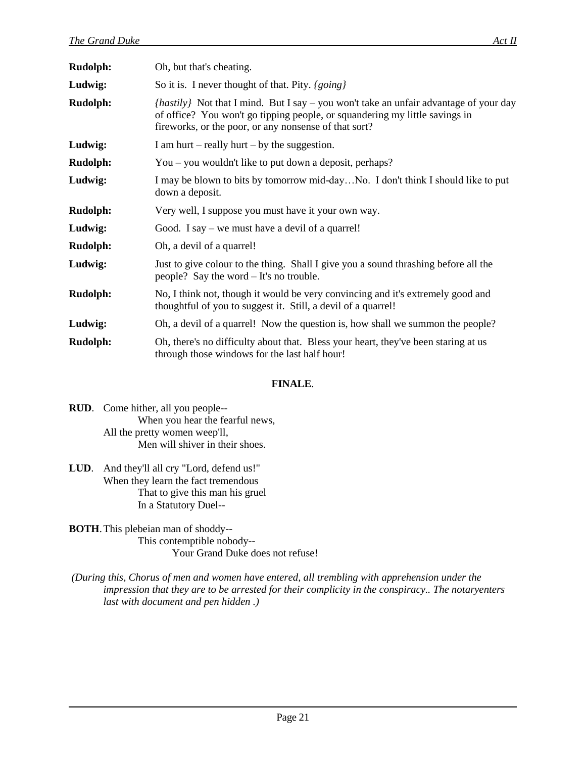| <b>Rudolph:</b> | Oh, but that's cheating.                                                                                                                                                                                                             |  |
|-----------------|--------------------------------------------------------------------------------------------------------------------------------------------------------------------------------------------------------------------------------------|--|
| Ludwig:         | So it is. I never thought of that. Pity. <i>{going}</i>                                                                                                                                                                              |  |
| Rudolph:        | <i>{hastily}</i> Not that I mind. But I say – you won't take an unfair advantage of your day<br>of office? You won't go tipping people, or squandering my little savings in<br>fireworks, or the poor, or any nonsense of that sort? |  |
| Ludwig:         | I am hurt – really hurt – by the suggestion.                                                                                                                                                                                         |  |
| <b>Rudolph:</b> | You – you wouldn't like to put down a deposit, perhaps?                                                                                                                                                                              |  |
| Ludwig:         | I may be blown to bits by tomorrow mid-dayNo. I don't think I should like to put<br>down a deposit.                                                                                                                                  |  |
| Rudolph:        | Very well, I suppose you must have it your own way.                                                                                                                                                                                  |  |
| Ludwig:         | Good. I say $-$ we must have a devil of a quarrel!                                                                                                                                                                                   |  |
| <b>Rudolph:</b> | Oh, a devil of a quarrel!                                                                                                                                                                                                            |  |
| Ludwig:         | Just to give colour to the thing. Shall I give you a sound thrashing before all the<br>people? Say the word – It's no trouble.                                                                                                       |  |
| <b>Rudolph:</b> | No, I think not, though it would be very convincing and it's extremely good and<br>thoughtful of you to suggest it. Still, a devil of a quarrel!                                                                                     |  |
| Ludwig:         | Oh, a devil of a quarrel! Now the question is, how shall we summon the people?                                                                                                                                                       |  |
| <b>Rudolph:</b> | Oh, there's no difficulty about that. Bless your heart, they've been staring at us<br>through those windows for the last half hour!                                                                                                  |  |

#### **FINALE**.

- **RUD**. Come hither, all you people-- When you hear the fearful news, All the pretty women weep'll, Men will shiver in their shoes.
- **LUD**. And they'll all cry "Lord, defend us!" When they learn the fact tremendous That to give this man his gruel In a Statutory Duel--

**BOTH**.This plebeian man of shoddy-- This contemptible nobody-- Your Grand Duke does not refuse!

*(During this, Chorus of men and women have entered, all trembling with apprehension under the impression that they are to be arrested for their complicity in the conspiracy.. The notaryenters last with document and pen hidden .)*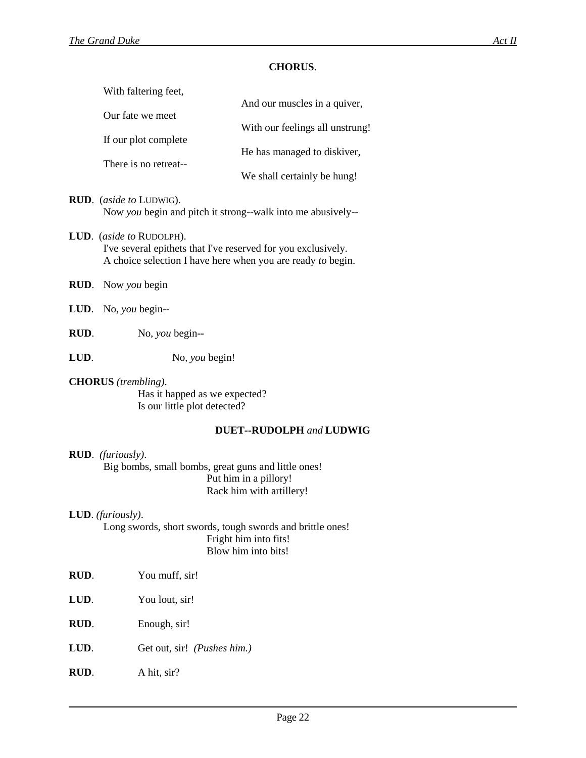#### **CHORUS**.

| With faltering feet,  |                                 |
|-----------------------|---------------------------------|
|                       | And our muscles in a quiver,    |
| Our fate we meet      |                                 |
|                       | With our feelings all unstrung! |
| If our plot complete  |                                 |
| There is no retreat-- | He has managed to diskiver,     |
|                       | We shall certainly be hung!     |
|                       |                                 |

**RUD**. (*aside to* LUDWIG). Now *you* begin and pitch it strong--walk into me abusively--

- **LUD**. (*aside to* RUDOLPH). I've several epithets that I've reserved for you exclusively. A choice selection I have here when you are ready *to* begin.
- **RUD**. Now *you* begin
- **LUD**. No, *you* begin--
- **RUD**. No, *you* begin--
- **LUD**. No, *you* begin!

**CHORUS** *(trembling)*. Has it happed as we expected? Is our little plot detected?

#### **DUET--RUDOLPH** *and* **LUDWIG**

#### **RUD**. *(furiously)*. Big bombs, small bombs, great guns and little ones! Put him in a pillory! Rack him with artillery!

#### **LUD**. *(furiously)*.

Long swords, short swords, tough swords and brittle ones! Fright him into fits! Blow him into bits!

- **RUD**. You muff, sir!
- **LUD**. You lout, sir!
- **RUD**. Enough, sir!
- **LUD**. Get out, sir! *(Pushes him.)*
- **RUD**. A hit, sir?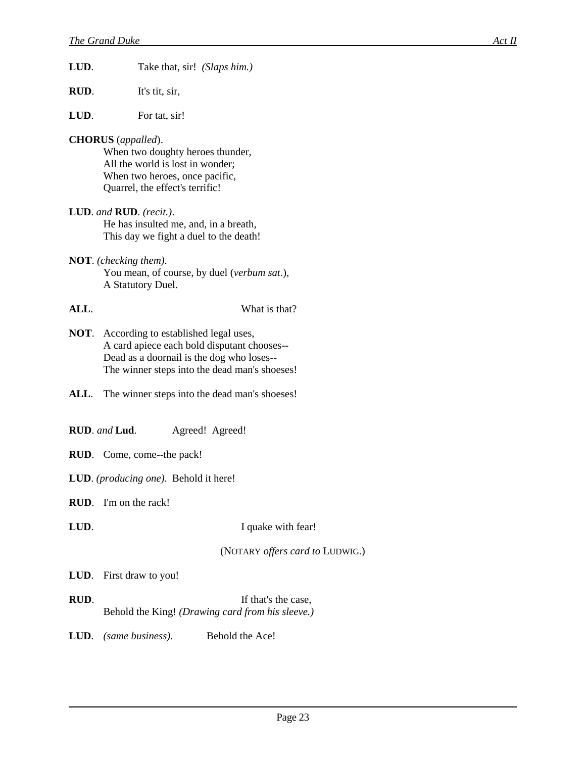| LUD. | Take that, sir! (Slaps him.)                                                                                                                                                           |
|------|----------------------------------------------------------------------------------------------------------------------------------------------------------------------------------------|
| RUD. | It's tit, sir,                                                                                                                                                                         |
| LUD. | For tat, sir!                                                                                                                                                                          |
|      | <b>CHORUS</b> (appalled).<br>When two doughty heroes thunder,<br>All the world is lost in wonder;<br>When two heroes, once pacific,<br>Quarrel, the effect's terrific!                 |
|      | <b>LUD</b> . and <b>RUD</b> . (recit.).<br>He has insulted me, and, in a breath,<br>This day we fight a duel to the death!                                                             |
|      | <b>NOT</b> . (checking them).<br>You mean, of course, by duel (verbum sat.),<br>A Statutory Duel.                                                                                      |
| ALL. | What is that?                                                                                                                                                                          |
|      | NOT. According to established legal uses,<br>A card apiece each bold disputant chooses--<br>Dead as a doornail is the dog who loses--<br>The winner steps into the dead man's shoeses! |
| ALL. | The winner steps into the dead man's shoeses!                                                                                                                                          |
|      | RUD. and Lud.<br>Agreed! Agreed!                                                                                                                                                       |
|      | <b>RUD.</b> Come, come--the pack!                                                                                                                                                      |
|      | LUD. (producing one). Behold it here!                                                                                                                                                  |
|      | RUD. I'm on the rack!                                                                                                                                                                  |
| LUD. | I quake with fear!                                                                                                                                                                     |
|      | (NOTARY offers card to LUDWIG.)                                                                                                                                                        |
|      | <b>LUD.</b> First draw to you!                                                                                                                                                         |
| RUD. | If that's the case,<br>Behold the King! (Drawing card from his sleeve.)                                                                                                                |

**LUD**. *(same business)*. Behold the Ace!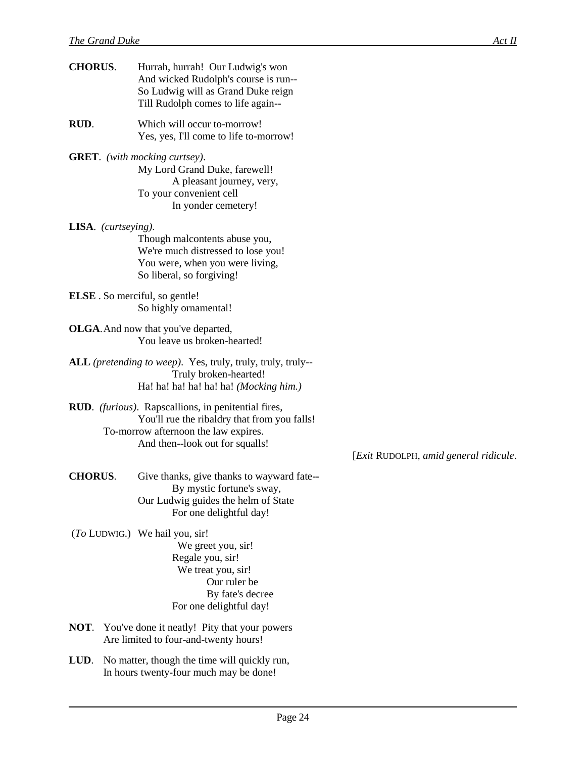| <b>CHORUS.</b>             | Hurrah, hurrah! Our Ludwig's won<br>And wicked Rudolph's course is run--<br>So Ludwig will as Grand Duke reign<br>Till Rudolph comes to life again--                                         |                                       |
|----------------------------|----------------------------------------------------------------------------------------------------------------------------------------------------------------------------------------------|---------------------------------------|
| RUD.                       | Which will occur to-morrow!<br>Yes, yes, I'll come to life to-morrow!                                                                                                                        |                                       |
|                            | <b>GRET.</b> (with mocking curtsey).<br>My Lord Grand Duke, farewell!<br>A pleasant journey, very,<br>To your convenient cell<br>In yonder cemetery!                                         |                                       |
| <b>LISA.</b> (curtseying). | Though malcontents abuse you,<br>We're much distressed to lose you!<br>You were, when you were living,<br>So liberal, so forgiving!                                                          |                                       |
|                            | <b>ELSE</b> . So merciful, so gentle!<br>So highly ornamental!                                                                                                                               |                                       |
|                            | <b>OLGA.</b> And now that you've departed,<br>You leave us broken-hearted!                                                                                                                   |                                       |
|                            | ALL (pretending to weep). Yes, truly, truly, truly, truly--<br>Truly broken-hearted!<br>Ha! ha! ha! ha! ha! (Mocking him.)                                                                   |                                       |
|                            | <b>RUD.</b> <i>(furious)</i> . Rapscallions, in penitential fires,<br>You'll rue the ribaldry that from you falls!<br>To-morrow afternoon the law expires.<br>And then-look out for squalls! | [Exit RUDOLPH, amid general ridicule. |
| <b>CHORUS.</b>             | Give thanks, give thanks to wayward fate--<br>By mystic fortune's sway,<br>Our Ludwig guides the helm of State<br>For one delightful day!                                                    |                                       |
|                            | (To LUDWIG.) We hail you, sir!<br>We greet you, sir!<br>Regale you, sir!<br>We treat you, sir!<br>Our ruler be<br>By fate's decree<br>For one delightful day!                                |                                       |
| NOT.                       | You've done it neatly! Pity that your powers<br>Are limited to four-and-twenty hours!                                                                                                        |                                       |
| LUD.                       | No matter, though the time will quickly run,<br>In hours twenty-four much may be done!                                                                                                       |                                       |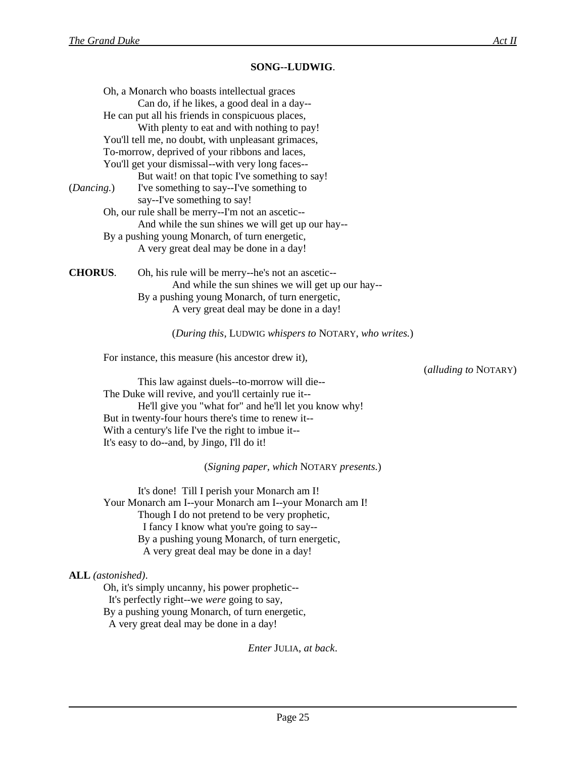## **SONG--LUDWIG**.

And while the sun shines we will get up our hay-- By a pushing young Monarch, of turn energetic, A very great deal may be done in a day!

(*During this*, LUDWIG *whispers to* NOTARY, *who writes.*)

For instance, this measure (his ancestor drew it),

(*alluding to* NOTARY)

This law against duels--to-morrow will die-- The Duke will revive, and you'll certainly rue it-- He'll give you "what for" and he'll let you know why! But in twenty-four hours there's time to renew it-- With a century's life I've the right to imbue it-- It's easy to do--and, by Jingo, I'll do it!

(*Signing paper, which* NOTARY *presents.*)

It's done! Till I perish your Monarch am I! Your Monarch am I--your Monarch am I--your Monarch am I! Though I do not pretend to be very prophetic, I fancy I know what you're going to say-- By a pushing young Monarch, of turn energetic, A very great deal may be done in a day!

### **ALL** *(astonished)*.

Oh, it's simply uncanny, his power prophetic--

 It's perfectly right--we *were* going to say, By a pushing young Monarch, of turn energetic,

A very great deal may be done in a day!

*Enter* JULIA, *at back*.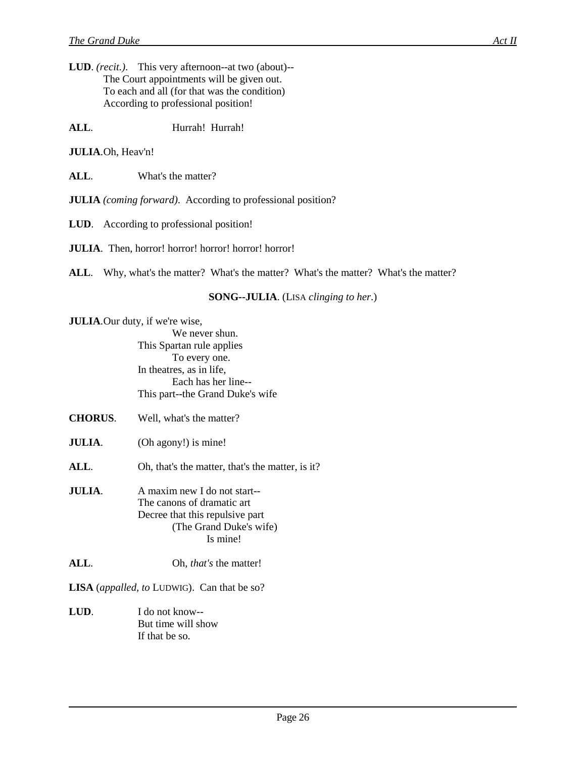ALL. **Hurrah!** Hurrah!

**JULIA**.Oh, Heav'n!

**ALL**. What's the matter?

**JULIA** *(coming forward)*. According to professional position?

**LUD**. According to professional position!

JULIA. Then, horror! horror! horror! horror! horror!

**ALL**. Why, what's the matter? What's the matter? What's the matter? What's the matter?

**SONG--JULIA**. (LISA *clinging to her*.)

**JULIA**.Our duty, if we're wise,

We never shun. This Spartan rule applies To every one. In theatres, as in life, Each has her line-- This part--the Grand Duke's wife

**CHORUS**. Well, what's the matter?

**JULIA.** (Oh agony!) is mine!

ALL. Oh, that's the matter, that's the matter, is it?

**JULIA.** A maxim new I do not start--The canons of dramatic art Decree that this repulsive part (The Grand Duke's wife) Is mine!

**ALL**. Oh, *that's* the matter!

**LISA** (*appalled, to* LUDWIG). Can that be so?

**LUD**. I do not know-- But time will show If that be so.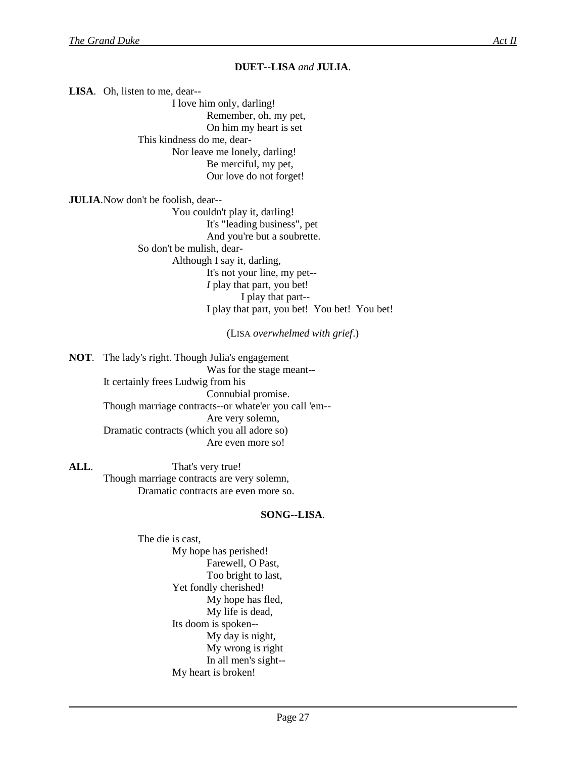#### **DUET--LISA** *and* **JULIA**.

**LISA**. Oh, listen to me, dear-- I love him only, darling! Remember, oh, my pet, On him my heart is set This kindness do me, dear-Nor leave me lonely, darling! Be merciful, my pet, Our love do not forget!

**JULIA**.Now don't be foolish, dear--

You couldn't play it, darling! It's "leading business", pet And you're but a soubrette. So don't be mulish, dear-Although I say it, darling, It's not your line, my pet-- *I* play that part, you bet! I play that part-- I play that part, you bet! You bet! You bet!

(LISA *overwhelmed with grief*.)

**NOT**. The lady's right. Though Julia's engagement Was for the stage meant-- It certainly frees Ludwig from his Connubial promise. Though marriage contracts--or whate'er you call 'em-- Are very solemn, Dramatic contracts (which you all adore so) Are even more so!

#### **ALL.** That's very true! Though marriage contracts are very solemn, Dramatic contracts are even more so.

#### **SONG--LISA**.

The die is cast, My hope has perished! Farewell, O Past, Too bright to last, Yet fondly cherished! My hope has fled, My life is dead, Its doom is spoken-- My day is night, My wrong is right In all men's sight-- My heart is broken!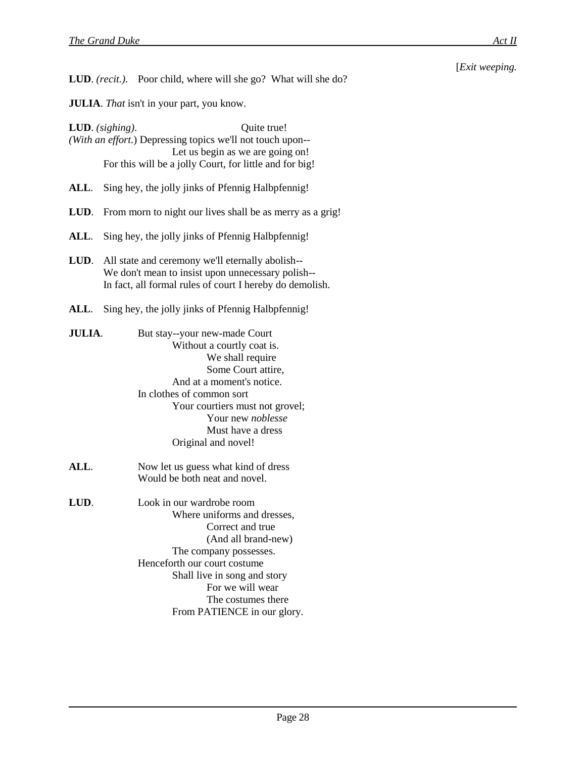[*Exit weeping.*

**LUD**. *(recit.)*. Poor child, where will she go? What will she do?

**JULIA**. *That* isn't in your part, you know.

**LUD**. *(sighing)*. Quite true! *(With an effort.*) Depressing topics we'll not touch upon-- Let us begin as we are going on! For this will be a jolly Court, for little and for big!

- ALL. Sing hey, the jolly jinks of Pfennig Halbpfennig!
- **LUD**. From morn to night our lives shall be as merry as a grig!
- ALL. Sing hey, the jolly jinks of Pfennig Halbpfennig!
- **LUD**. All state and ceremony we'll eternally abolish-- We don't mean to insist upon unnecessary polish-- In fact, all formal rules of court I hereby do demolish.
- **ALL**. Sing hey, the jolly jinks of Pfennig Halbpfennig!

| JULIA. | But stay--your new-made Court                                        |
|--------|----------------------------------------------------------------------|
|        | Without a courtly coat is.                                           |
|        | We shall require                                                     |
|        | Some Court attire,                                                   |
|        | And at a moment's notice.                                            |
|        | In clothes of common sort                                            |
|        | Your courtiers must not grovel;                                      |
|        | Your new <i>noblesse</i>                                             |
|        | Must have a dress                                                    |
|        | Original and novel!                                                  |
| ALL.   | Now let us guess what kind of dress<br>Would be both neat and novel. |

**LUD**. Look in our wardrobe room Where uniforms and dresses, Correct and true (And all brand-new) The company possesses. Henceforth our court costume Shall live in song and story For we will wear The costumes there From PATIENCE in our glory.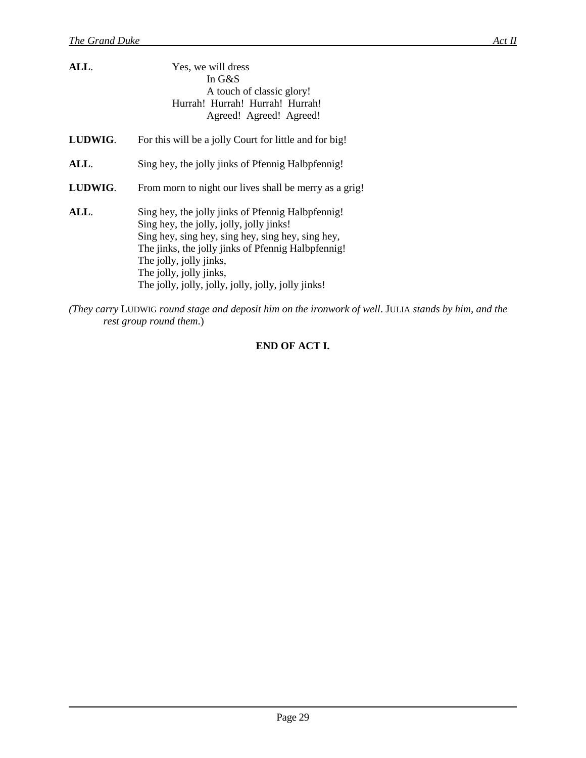| ALL.    | Yes, we will dress<br>In $G\&S$<br>A touch of classic glory!<br>Hurrah! Hurrah! Hurrah! Hurrah!<br>Agreed! Agreed! Agreed!                                                                                                                                                                                            |
|---------|-----------------------------------------------------------------------------------------------------------------------------------------------------------------------------------------------------------------------------------------------------------------------------------------------------------------------|
| LUDWIG. | For this will be a jolly Court for little and for big!                                                                                                                                                                                                                                                                |
| ALL.    | Sing hey, the jolly jinks of Pfennig Halbpfennig!                                                                                                                                                                                                                                                                     |
| LUDWIG. | From morn to night our lives shall be merry as a grig!                                                                                                                                                                                                                                                                |
| ALL.    | Sing hey, the jolly jinks of Pfennig Halbpfennig!<br>Sing hey, the jolly, jolly, jolly jinks!<br>Sing hey, sing hey, sing hey, sing hey, sing hey,<br>The jinks, the jolly jinks of Pfennig Halbpfennig!<br>The jolly, jolly jinks,<br>The jolly, jolly jinks,<br>The jolly, jolly, jolly, jolly, jolly, jolly jinks! |

*(They carry* LUDWIG *round stage and deposit him on the ironwork of well*. JULIA *stands by him, and the rest group round them*.)

### **END OF ACT I.**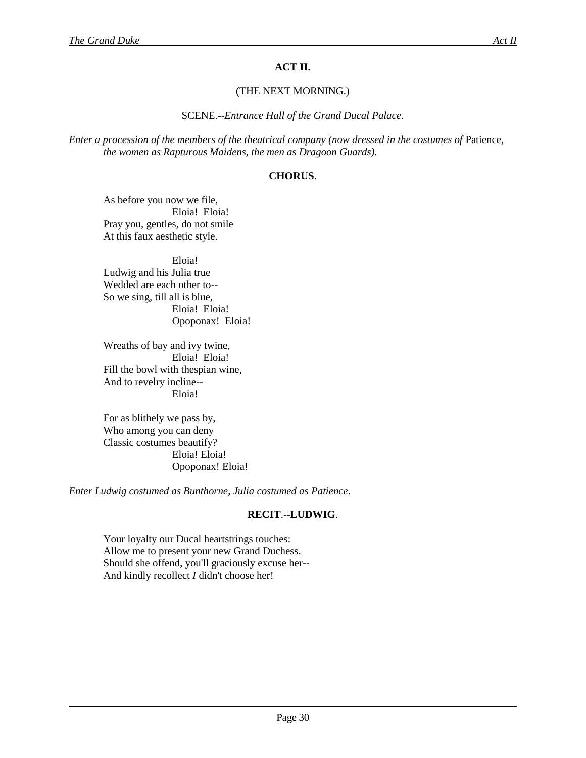#### **ACT II.**

#### (THE NEXT MORNING.)

SCENE.--*Entrance Hall of the Grand Ducal Palace.*

*Enter a procession of the members of the theatrical company (now dressed in the costumes of* Patience, *the women as Rapturous Maidens, the men as Dragoon Guards).*

#### **CHORUS**.

As before you now we file, Eloia! Eloia! Pray you, gentles, do not smile At this faux aesthetic style.

Eloia! Ludwig and his Julia true Wedded are each other to-- So we sing, till all is blue, Eloia! Eloia! Opoponax! Eloia!

Wreaths of bay and ivy twine, Eloia! Eloia! Fill the bowl with thespian wine, And to revelry incline-- Eloia!

For as blithely we pass by, Who among you can deny Classic costumes beautify? Eloia! Eloia! Opoponax! Eloia!

*Enter Ludwig costumed as Bunthorne, Julia costumed as Patience.*

#### **RECIT**.--**LUDWIG**.

Your loyalty our Ducal heartstrings touches: Allow me to present your new Grand Duchess. Should she offend, you'll graciously excuse her-- And kindly recollect *I* didn't choose her!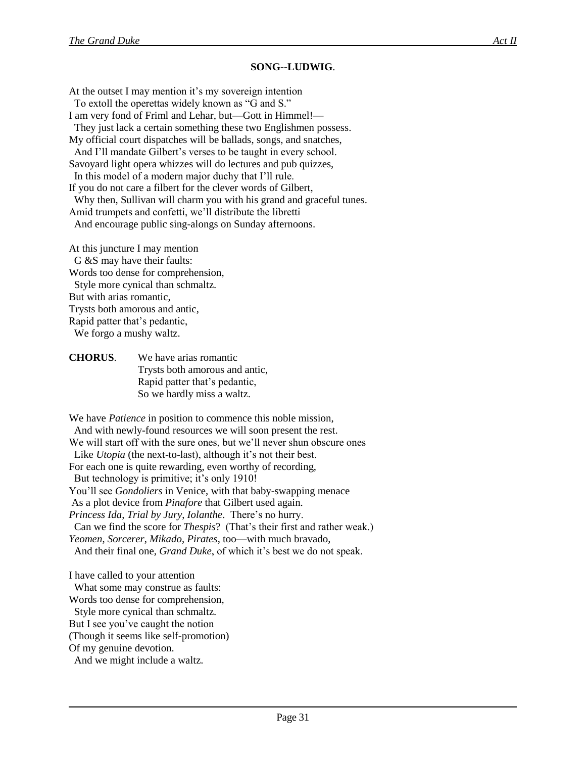#### **SONG--LUDWIG**.

At the outset I may mention it's my sovereign intention To extoll the operettas widely known as "G and S." I am very fond of Friml and Lehar, but—Gott in Himmel!— They just lack a certain something these two Englishmen possess. My official court dispatches will be ballads, songs, and snatches, And I'll mandate Gilbert's verses to be taught in every school. Savoyard light opera whizzes will do lectures and pub quizzes, In this model of a modern major duchy that I'll rule. If you do not care a filbert for the clever words of Gilbert, Why then, Sullivan will charm you with his grand and graceful tunes. Amid trumpets and confetti, we'll distribute the libretti And encourage public sing-alongs on Sunday afternoons. At this juncture I may mention

 G &S may have their faults: Words too dense for comprehension, Style more cynical than schmaltz. But with arias romantic, Trysts both amorous and antic, Rapid patter that's pedantic, We forgo a mushy waltz.

**CHORUS**. We have arias romantic Trysts both amorous and antic, Rapid patter that's pedantic, So we hardly miss a waltz.

We have *Patience* in position to commence this noble mission, And with newly-found resources we will soon present the rest. We will start off with the sure ones, but we'll never shun obscure ones Like *Utopia* (the next-to-last), although it's not their best. For each one is quite rewarding, even worthy of recording, But technology is primitive; it's only 1910! You'll see *Gondoliers* in Venice, with that baby-swapping menace As a plot device from *Pinafore* that Gilbert used again. *Princess Ida*, *Trial by Jury*, *Iolanthe*. There's no hurry. Can we find the score for *Thespis*? (That's their first and rather weak.) *Yeomen*, *Sorcerer*, *Mikado*, *Pirates*, too—with much bravado, And their final one, *Grand Duke*, of which it's best we do not speak.

I have called to your attention

What some may construe as faults:

Words too dense for comprehension,

Style more cynical than schmaltz.

But I see you've caught the notion (Though it seems like self-promotion)

Of my genuine devotion.

And we might include a waltz.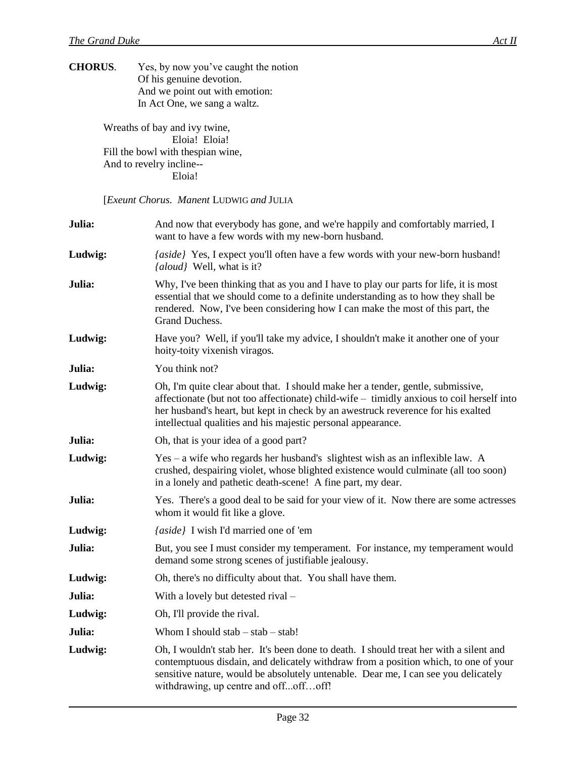**CHORUS**. Yes, by now you've caught the notion Of his genuine devotion. And we point out with emotion: In Act One, we sang a waltz.

> Wreaths of bay and ivy twine, Eloia! Eloia! Fill the bowl with thespian wine, And to revelry incline-- Eloia!

[*Exeunt Chorus. Manent* LUDWIG *and* JULIA

| Julia:  | And now that everybody has gone, and we're happily and comfortably married, I<br>want to have a few words with my new-born husband.                                                                                                                                                                                              |
|---------|----------------------------------------------------------------------------------------------------------------------------------------------------------------------------------------------------------------------------------------------------------------------------------------------------------------------------------|
| Ludwig: | <i>{aside}</i> Yes, I expect you'll often have a few words with your new-born husband!<br><i>{aloud}</i> Well, what is it?                                                                                                                                                                                                       |
| Julia:  | Why, I've been thinking that as you and I have to play our parts for life, it is most<br>essential that we should come to a definite understanding as to how they shall be<br>rendered. Now, I've been considering how I can make the most of this part, the<br>Grand Duchess.                                                   |
| Ludwig: | Have you? Well, if you'll take my advice, I shouldn't make it another one of your<br>hoity-toity vixenish viragos.                                                                                                                                                                                                               |
| Julia:  | You think not?                                                                                                                                                                                                                                                                                                                   |
| Ludwig: | Oh, I'm quite clear about that. I should make her a tender, gentle, submissive,<br>affectionate (but not too affectionate) child-wife – timidly anxious to coil herself into<br>her husband's heart, but kept in check by an awestruck reverence for his exalted<br>intellectual qualities and his majestic personal appearance. |
| Julia:  | Oh, that is your idea of a good part?                                                                                                                                                                                                                                                                                            |
| Ludwig: | $Yes - a wife who regards her husband's slightest wish as an inflexible law. A$<br>crushed, despairing violet, whose blighted existence would culminate (all too soon)<br>in a lonely and pathetic death-scene! A fine part, my dear.                                                                                            |
| Julia:  | Yes. There's a good deal to be said for your view of it. Now there are some actresses<br>whom it would fit like a glove.                                                                                                                                                                                                         |
| Ludwig: | <i>{aside}</i> I wish I'd married one of 'em                                                                                                                                                                                                                                                                                     |
| Julia:  | But, you see I must consider my temperament. For instance, my temperament would<br>demand some strong scenes of justifiable jealousy.                                                                                                                                                                                            |
| Ludwig: | Oh, there's no difficulty about that. You shall have them.                                                                                                                                                                                                                                                                       |
| Julia:  | With a lovely but detested rival -                                                                                                                                                                                                                                                                                               |
| Ludwig: | Oh, I'll provide the rival.                                                                                                                                                                                                                                                                                                      |
| Julia:  | Whom I should $stab - stab$ .                                                                                                                                                                                                                                                                                                    |
| Ludwig: | Oh, I wouldn't stab her. It's been done to death. I should treat her with a silent and<br>contemptuous disdain, and delicately withdraw from a position which, to one of your<br>sensitive nature, would be absolutely untenable. Dear me, I can see you delicately<br>withdrawing, up centre and offoffoff!                     |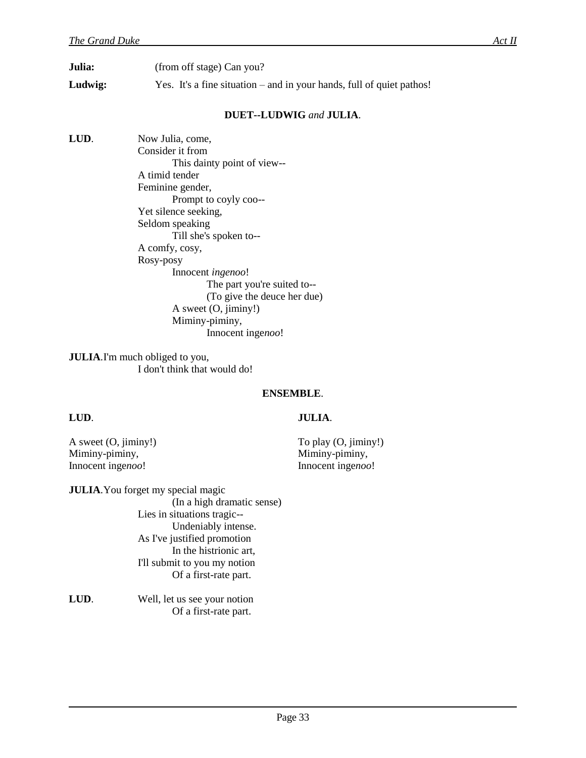| Julia:  | (from off stage) Can you?                                               |
|---------|-------------------------------------------------------------------------|
| Ludwig: | Yes. It's a fine situation $-$ and in your hands, full of quiet pathos! |
|         |                                                                         |

#### **DUET--LUDWIG** *and* **JULIA**.

| LUI | Now Julia, come,            |
|-----|-----------------------------|
|     | Consider it from            |
|     | This dainty point of view-- |
|     | A timid tender              |
|     | Feminine gender,            |
|     | Prompt to coyly coo--       |
|     | Yet silence seeking,        |
|     | Seldom speaking             |
|     | Till she's spoken to--      |
|     | A comfy, cosy,              |
|     | Rosy-posy                   |
|     | Innocent <i>ingenoo</i> !   |
|     | The part you're suited to-- |
|     | (To give the deuce her due) |
|     | A sweet $(O, jiminy!)$      |
|     | Miminy-piminy,              |
|     | Innocent ingenoo!           |
|     |                             |

**JULIA**.I'm much obliged to you, I don't think that would do!

#### **ENSEMBLE**.

## **LUD**. **JULIA**.

A sweet (O, jiminy!) To play (O, jiminy!)<br>Miminy-piminy, Miminy-piminy, Miminy-piminy,<br>Innocent ingenoo!

Innocent inge*noo*! Innocent inge*noo*!

**LUD**. Well, let us see your notion Of a first-rate part.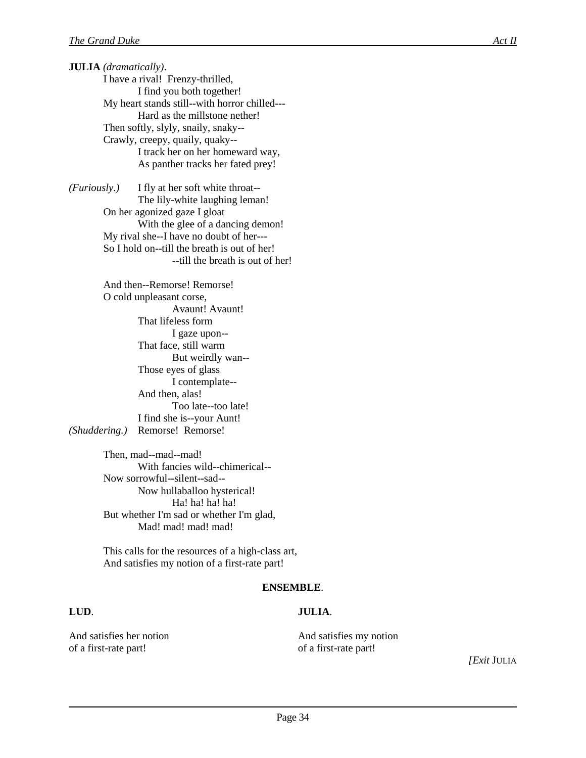**JULIA** *(dramatically)*. I have a rival! Frenzy-thrilled, I find you both together! My heart stands still--with horror chilled--- Hard as the millstone nether! Then softly, slyly, snaily, snaky-- Crawly, creepy, quaily, quaky-- I track her on her homeward way, As panther tracks her fated prey!

*(Furiously.)* I fly at her soft white throat-- The lily-white laughing leman! On her agonized gaze I gloat With the glee of a dancing demon! My rival she--I have no doubt of her--- So I hold on--till the breath is out of her! --till the breath is out of her!

And then--Remorse! Remorse! O cold unpleasant corse, Avaunt! Avaunt! That lifeless form I gaze upon-- That face, still warm But weirdly wan-- Those eyes of glass I contemplate-- And then, alas! Too late--too late! I find she is--your Aunt! *(Shuddering.)* Remorse! Remorse!

> Then, mad--mad--mad! With fancies wild--chimerical-- Now sorrowful--silent--sad-- Now hullaballoo hysterical! Ha! ha! ha! ha! But whether I'm sad or whether I'm glad, Mad! mad! mad! mad!

This calls for the resources of a high-class art, And satisfies my notion of a first-rate part!

#### **ENSEMBLE**.

#### **LUD**. **JULIA**.

And satisfies her notion And satisfies my notion of a first-rate part! of a first-rate part!

*[Exit* JULIA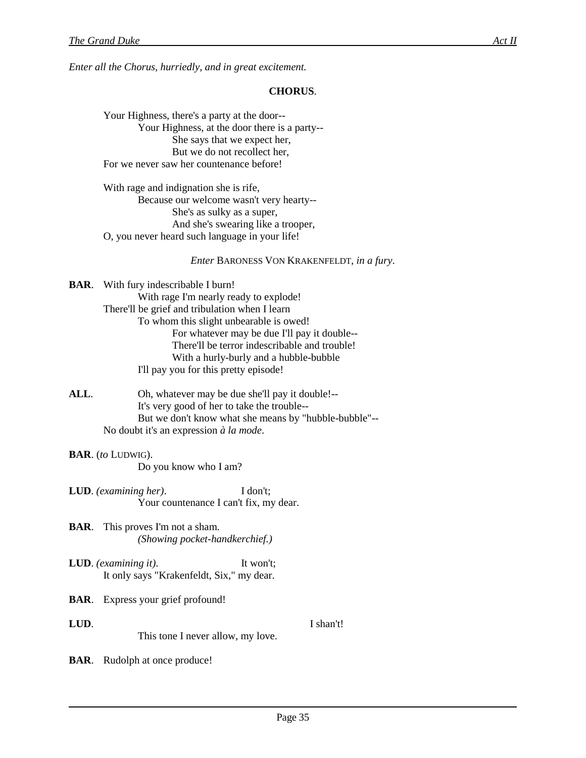*Enter all the Chorus, hurriedly, and in great excitement.*

#### **CHORUS**.

Your Highness, there's a party at the door-- Your Highness, at the door there is a party-- She says that we expect her, But we do not recollect her, For we never saw her countenance before!

With rage and indignation she is rife, Because our welcome wasn't very hearty-- She's as sulky as a super, And she's swearing like a trooper, O, you never heard such language in your life!

#### *Enter* BARONESS VON KRAKENFELDT, *in a fury*.

**BAR**. With fury indescribable I burn! With rage I'm nearly ready to explode! There'll be grief and tribulation when I learn To whom this slight unbearable is owed! For whatever may be due I'll pay it double-- There'll be terror indescribable and trouble! With a hurly-burly and a hubble-bubble I'll pay you for this pretty episode!

ALL. Oh, whatever may be due she'll pay it double!--It's very good of her to take the trouble-- But we don't know what she means by "hubble-bubble"-- No doubt it's an expression *à la mode*.

### **BAR**. (*to* LUDWIG).

Do you know who I am?

**LUD**. *(examining her)*. I don't; Your countenance I can't fix, my dear.

- **BAR**. This proves I'm not a sham. *(Showing pocket-handkerchief.)*
- **LUD**. *(examining it)*. It won't; It only says "Krakenfeldt, Six," my dear.
- **BAR**. Express your grief profound!
- **LUD**. I shan't!

This tone I never allow, my love.

**BAR**. Rudolph at once produce!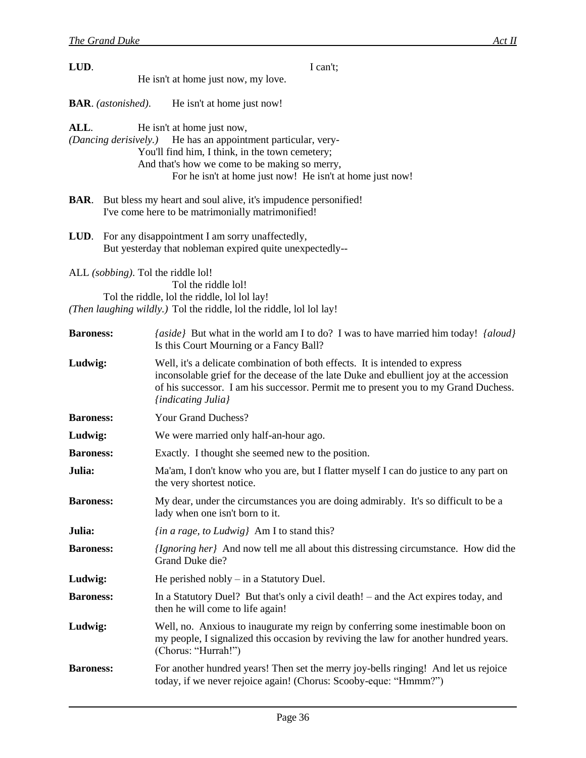| LUD.                                                                                                                                                                                                                                                                 | I can't;                                                                                                                                                                                                                                                                                   |
|----------------------------------------------------------------------------------------------------------------------------------------------------------------------------------------------------------------------------------------------------------------------|--------------------------------------------------------------------------------------------------------------------------------------------------------------------------------------------------------------------------------------------------------------------------------------------|
|                                                                                                                                                                                                                                                                      | He isn't at home just now, my love.                                                                                                                                                                                                                                                        |
| <b>BAR.</b> (astonished).                                                                                                                                                                                                                                            | He isn't at home just now!                                                                                                                                                                                                                                                                 |
| ALL.<br>He isn't at home just now,<br>(Dancing derisively.) He has an appointment particular, very-<br>You'll find him, I think, in the town cemetery;<br>And that's how we come to be making so merry,<br>For he isn't at home just now! He isn't at home just now! |                                                                                                                                                                                                                                                                                            |
|                                                                                                                                                                                                                                                                      | <b>BAR.</b> But bless my heart and soul alive, it's impudence personified!<br>I've come here to be matrimonially matrimonified!                                                                                                                                                            |
|                                                                                                                                                                                                                                                                      | LUD. For any disappointment I am sorry unaffectedly,<br>But yesterday that nobleman expired quite unexpectedly--                                                                                                                                                                           |
| ALL (sobbing). Tol the riddle lol!<br>Tol the riddle lol!<br>Tol the riddle, lol the riddle, lol lol lay!<br>( <i>Then laughing wildly.</i> ) Tol the riddle, lol the riddle, lol lol lay!                                                                           |                                                                                                                                                                                                                                                                                            |
| <b>Baroness:</b>                                                                                                                                                                                                                                                     | <i>{aside}</i> But what in the world am I to do? I was to have married him today! <i>{aloud}</i><br>Is this Court Mourning or a Fancy Ball?                                                                                                                                                |
| Ludwig:                                                                                                                                                                                                                                                              | Well, it's a delicate combination of both effects. It is intended to express<br>inconsolable grief for the decease of the late Duke and ebullient joy at the accession<br>of his successor. I am his successor. Permit me to present you to my Grand Duchess.<br><i>{indicating Julia}</i> |
| <b>Baroness:</b>                                                                                                                                                                                                                                                     | Your Grand Duchess?                                                                                                                                                                                                                                                                        |
| Ludwig:                                                                                                                                                                                                                                                              | We were married only half-an-hour ago.                                                                                                                                                                                                                                                     |
| <b>Baroness:</b>                                                                                                                                                                                                                                                     | Exactly. I thought she seemed new to the position.                                                                                                                                                                                                                                         |
| Julia:                                                                                                                                                                                                                                                               | Ma'am, I don't know who you are, but I flatter myself I can do justice to any part on<br>the very shortest notice.                                                                                                                                                                         |
| <b>Baroness:</b>                                                                                                                                                                                                                                                     | My dear, under the circumstances you are doing admirably. It's so difficult to be a<br>lady when one isn't born to it.                                                                                                                                                                     |
| Julia:                                                                                                                                                                                                                                                               | $\{in a \, range, \, to \, Ludwig\}$ Am I to stand this?                                                                                                                                                                                                                                   |
| <b>Baroness:</b>                                                                                                                                                                                                                                                     | <i>{Ignoring her}</i> And now tell me all about this distressing circumstance. How did the<br>Grand Duke die?                                                                                                                                                                              |
| Ludwig:                                                                                                                                                                                                                                                              | He perished nobly $-$ in a Statutory Duel.                                                                                                                                                                                                                                                 |
| <b>Baroness:</b>                                                                                                                                                                                                                                                     | In a Statutory Duel? But that's only a civil death! – and the Act expires today, and<br>then he will come to life again!                                                                                                                                                                   |
| Ludwig:                                                                                                                                                                                                                                                              | Well, no. Anxious to inaugurate my reign by conferring some inestimable boon on<br>my people, I signalized this occasion by reviving the law for another hundred years.<br>(Chorus: "Hurrah!")                                                                                             |
| <b>Baroness:</b>                                                                                                                                                                                                                                                     | For another hundred years! Then set the merry joy-bells ringing! And let us rejoice<br>today, if we never rejoice again! (Chorus: Scooby-eque: "Hmmm?")                                                                                                                                    |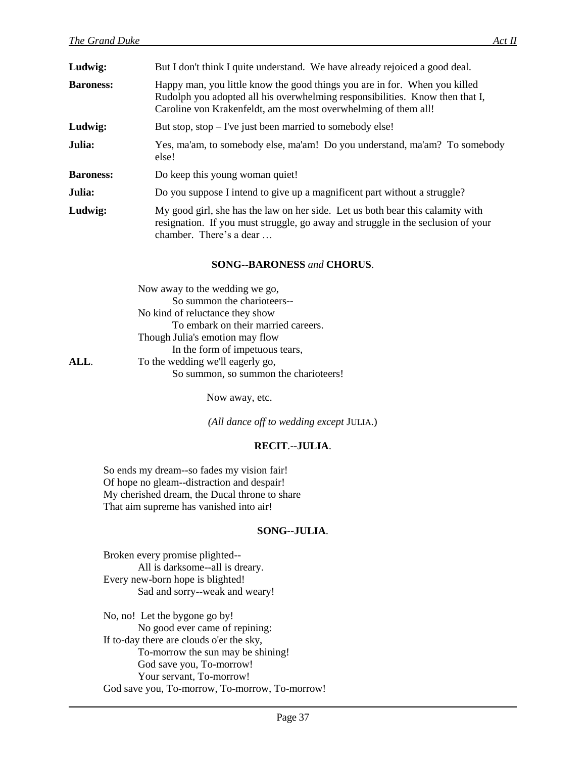| Ludwig:          | But I don't think I quite understand. We have already rejoiced a good deal.                                                                                                                                                   |
|------------------|-------------------------------------------------------------------------------------------------------------------------------------------------------------------------------------------------------------------------------|
| <b>Baroness:</b> | Happy man, you little know the good things you are in for. When you killed<br>Rudolph you adopted all his overwhelming responsibilities. Know then that I,<br>Caroline von Krakenfeldt, am the most overwhelming of them all! |
| Ludwig:          | But stop, stop $-$ I've just been married to somebody else!                                                                                                                                                                   |
| Julia:           | Yes, ma'am, to somebody else, ma'am! Do you understand, ma'am? To somebody<br>else!                                                                                                                                           |
| <b>Baroness:</b> | Do keep this young woman quiet!                                                                                                                                                                                               |
| Julia:           | Do you suppose I intend to give up a magnificent part without a struggle?                                                                                                                                                     |
| Ludwig:          | My good girl, she has the law on her side. Let us both bear this calamity with<br>resignation. If you must struggle, go away and struggle in the seclusion of your<br>chamber. There's a dear $\ldots$                        |

#### **SONG--BARONESS** *and* **CHORUS**.

|      | Now away to the wedding we go,        |
|------|---------------------------------------|
|      | So summon the charioteers--           |
|      | No kind of reluctance they show       |
|      | To embark on their married careers.   |
|      | Though Julia's emotion may flow       |
|      | In the form of impetuous tears,       |
| ALL. | To the wedding we'll eagerly go,      |
|      | So summon, so summon the charioteers! |
|      |                                       |

Now away, etc.

*(All dance off to wedding except* JULIA.)

#### **RECIT**.--**JULIA**.

So ends my dream--so fades my vision fair! Of hope no gleam--distraction and despair! My cherished dream, the Ducal throne to share That aim supreme has vanished into air!

#### **SONG--JULIA**.

Broken every promise plighted-- All is darksome--all is dreary. Every new-born hope is blighted! Sad and sorry--weak and weary!

No, no! Let the bygone go by! No good ever came of repining: If to-day there are clouds o'er the sky, To-morrow the sun may be shining! God save you, To-morrow! Your servant, To-morrow! God save you, To-morrow, To-morrow, To-morrow!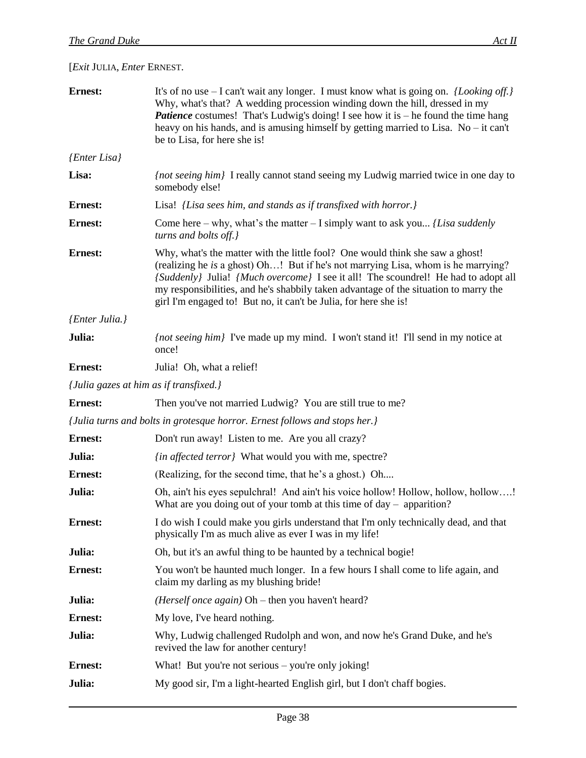[*Exit* JULIA, *Enter* ERNEST.

| <b>Ernest:</b>                         | It's of no use $-$ I can't wait any longer. I must know what is going on. <i>{Looking off.}</i><br>Why, what's that? A wedding procession winding down the hill, dressed in my<br><b>Patience</b> costumes! That's Ludwig's doing! I see how it is – he found the time hang<br>heavy on his hands, and is amusing himself by getting married to Lisa. No $-$ it can't<br>be to Lisa, for here she is!                |
|----------------------------------------|----------------------------------------------------------------------------------------------------------------------------------------------------------------------------------------------------------------------------------------------------------------------------------------------------------------------------------------------------------------------------------------------------------------------|
| <i>{Enter Lisa}</i>                    |                                                                                                                                                                                                                                                                                                                                                                                                                      |
| Lisa:                                  | <i>{not seeing him}</i> I really cannot stand seeing my Ludwig married twice in one day to<br>somebody else!                                                                                                                                                                                                                                                                                                         |
| <b>Ernest:</b>                         | Lisa! {Lisa sees him, and stands as if transfixed with horror.}                                                                                                                                                                                                                                                                                                                                                      |
| <b>Ernest:</b>                         | Come here – why, what's the matter – I simply want to ask you <i>{Lisa suddenly</i><br>turns and bolts off.}                                                                                                                                                                                                                                                                                                         |
| <b>Ernest:</b>                         | Why, what's the matter with the little fool? One would think she saw a ghost!<br>(realizing he is a ghost) Oh! But if he's not marrying Lisa, whom is he marrying?<br>(Suddenly) Julia! (Much overcome) I see it all! The scoundrel! He had to adopt all<br>my responsibilities, and he's shabbily taken advantage of the situation to marry the<br>girl I'm engaged to! But no, it can't be Julia, for here she is! |
| <i>{Enter Julia.}</i>                  |                                                                                                                                                                                                                                                                                                                                                                                                                      |
| Julia:                                 | <i>{not seeing him}</i> I've made up my mind. I won't stand it! I'll send in my notice at<br>once!                                                                                                                                                                                                                                                                                                                   |
| <b>Ernest:</b>                         | Julia! Oh, what a relief!                                                                                                                                                                                                                                                                                                                                                                                            |
| {Julia gazes at him as if transfixed.} |                                                                                                                                                                                                                                                                                                                                                                                                                      |
| <b>Ernest:</b>                         | Then you've not married Ludwig? You are still true to me?                                                                                                                                                                                                                                                                                                                                                            |
|                                        | {Julia turns and bolts in grotesque horror. Ernest follows and stops her.}                                                                                                                                                                                                                                                                                                                                           |
| <b>Ernest:</b>                         | Don't run away! Listen to me. Are you all crazy?                                                                                                                                                                                                                                                                                                                                                                     |
| Julia:                                 | <i>{in affected terror}</i> What would you with me, spectre?                                                                                                                                                                                                                                                                                                                                                         |
| <b>Ernest:</b>                         | (Realizing, for the second time, that he's a ghost.) Oh                                                                                                                                                                                                                                                                                                                                                              |
| Julia:                                 | Oh, ain't his eyes sepulchral! And ain't his voice hollow! Hollow, hollow, hollow!<br>What are you doing out of your tomb at this time of $day -$ apparition?                                                                                                                                                                                                                                                        |
| <b>Ernest:</b>                         | I do wish I could make you girls understand that I'm only technically dead, and that<br>physically I'm as much alive as ever I was in my life!                                                                                                                                                                                                                                                                       |
| Julia:                                 | Oh, but it's an awful thing to be haunted by a technical bogie!                                                                                                                                                                                                                                                                                                                                                      |
| <b>Ernest:</b>                         | You won't be haunted much longer. In a few hours I shall come to life again, and<br>claim my darling as my blushing bride!                                                                                                                                                                                                                                                                                           |
| Julia:                                 | ( <i>Herself once again</i> ) Oh – then you haven't heard?                                                                                                                                                                                                                                                                                                                                                           |
| <b>Ernest:</b>                         | My love, I've heard nothing.                                                                                                                                                                                                                                                                                                                                                                                         |
| Julia:                                 | Why, Ludwig challenged Rudolph and won, and now he's Grand Duke, and he's<br>revived the law for another century!                                                                                                                                                                                                                                                                                                    |
| <b>Ernest:</b>                         | What! But you're not serious – you're only joking!                                                                                                                                                                                                                                                                                                                                                                   |
| Julia:                                 | My good sir, I'm a light-hearted English girl, but I don't chaff bogies.                                                                                                                                                                                                                                                                                                                                             |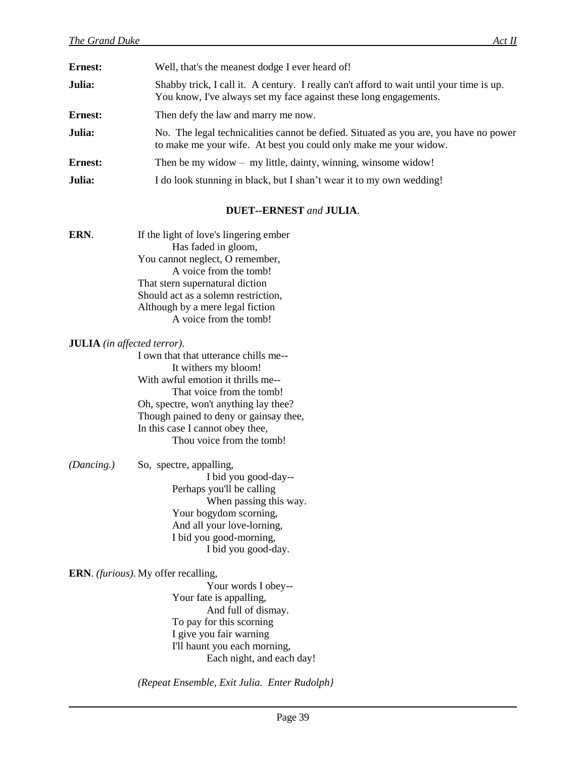| <b>Ernest:</b> | Well, that's the meanest dodge I ever heard of!                                                                                                               |
|----------------|---------------------------------------------------------------------------------------------------------------------------------------------------------------|
| Julia:         | Shabby trick, I call it. A century. I really can't afford to wait until your time is up.<br>You know, I've always set my face against these long engagements. |
| <b>Ernest:</b> | Then defy the law and marry me now.                                                                                                                           |
| Julia:         | No. The legal technicalities cannot be defied. Situated as you are, you have no power<br>to make me your wife. At best you could only make me your widow.     |
| <b>Ernest:</b> | Then be my widow $-$ my little, dainty, winning, winsome widow!                                                                                               |
| Julia:         | I do look stunning in black, but I shan't wear it to my own wedding!                                                                                          |

#### **DUET--ERNEST** *and* **JULIA**.

| ERN. | If the light of love's lingering ember |
|------|----------------------------------------|
|      | Has faded in gloom,                    |
|      | You cannot neglect, O remember,        |
|      | A voice from the tomb!                 |
|      | That stern supernatural diction        |
|      | Should act as a solemn restriction,    |
|      | Although by a mere legal fiction       |
|      | A voice from the tomb!                 |
|      |                                        |

#### **JULIA** *(in affected terror)*.

I own that that utterance chills me-- It withers my bloom! With awful emotion it thrills me-- That voice from the tomb! Oh, spectre, won't anything lay thee? Though pained to deny or gainsay thee, In this case I cannot obey thee, Thou voice from the tomb!

*(Dancing.)* So, spectre, appalling,

I bid you good-day-- Perhaps you'll be calling When passing this way. Your bogydom scorning, And all your love-lorning, I bid you good-morning, I bid you good-day.

#### **ERN**. *(furious)*. My offer recalling,

Your words I obey-- Your fate is appalling, And full of dismay. To pay for this scorning I give you fair warning I'll haunt you each morning, Each night, and each day!

*(Repeat Ensemble, Exit Julia. Enter Rudolph}*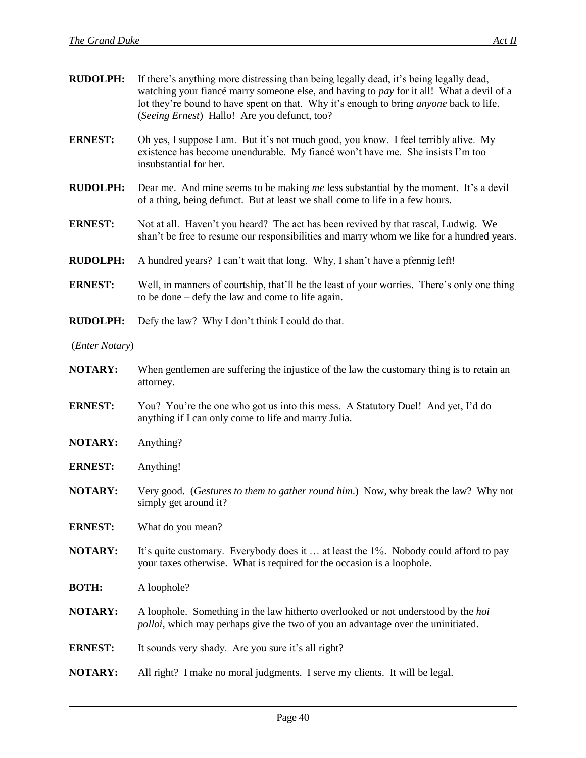| <b>RUDOLPH:</b>         | If there's anything more distressing than being legally dead, it's being legally dead,<br>watching your fiance marry someone else, and having to pay for it all! What a devil of a<br>lot they're bound to have spent on that. Why it's enough to bring anyone back to life.<br>(Seeing Ernest) Hallo! Are you defunct, too? |
|-------------------------|------------------------------------------------------------------------------------------------------------------------------------------------------------------------------------------------------------------------------------------------------------------------------------------------------------------------------|
| <b>ERNEST:</b>          | Oh yes, I suppose I am. But it's not much good, you know. I feel terribly alive. My<br>existence has become unendurable. My fiancé won't have me. She insists I'm too<br>insubstantial for her.                                                                                                                              |
| <b>RUDOLPH:</b>         | Dear me. And mine seems to be making me less substantial by the moment. It's a devil<br>of a thing, being defunct. But at least we shall come to life in a few hours.                                                                                                                                                        |
| <b>ERNEST:</b>          | Not at all. Haven't you heard? The act has been revived by that rascal, Ludwig. We<br>shan't be free to resume our responsibilities and marry whom we like for a hundred years.                                                                                                                                              |
| <b>RUDOLPH:</b>         | A hundred years? I can't wait that long. Why, I shan't have a pfennig left!                                                                                                                                                                                                                                                  |
| <b>ERNEST:</b>          | Well, in manners of courtship, that'll be the least of your worries. There's only one thing<br>to be done $-\text{defy}$ the law and come to life again.                                                                                                                                                                     |
| <b>RUDOLPH:</b>         | Defy the law? Why I don't think I could do that.                                                                                                                                                                                                                                                                             |
| ( <i>Enter Notary</i> ) |                                                                                                                                                                                                                                                                                                                              |
| <b>NOTARY:</b>          | When gentlemen are suffering the injustice of the law the customary thing is to retain an<br>attorney.                                                                                                                                                                                                                       |
| <b>ERNEST:</b>          | You? You're the one who got us into this mess. A Statutory Duel! And yet, I'd do<br>anything if I can only come to life and marry Julia.                                                                                                                                                                                     |
| <b>NOTARY:</b>          | Anything?                                                                                                                                                                                                                                                                                                                    |
| <b>ERNEST:</b>          | Anything!                                                                                                                                                                                                                                                                                                                    |
| <b>NOTARY:</b>          | Very good. (Gestures to them to gather round him.) Now, why break the law? Why not<br>simply get around it?                                                                                                                                                                                                                  |
| <b>ERNEST:</b>          | What do you mean?                                                                                                                                                                                                                                                                                                            |
| <b>NOTARY:</b>          | It's quite customary. Everybody does it  at least the 1%. Nobody could afford to pay<br>your taxes otherwise. What is required for the occasion is a loophole.                                                                                                                                                               |
| <b>BOTH:</b>            | A loophole?                                                                                                                                                                                                                                                                                                                  |
| <b>NOTARY:</b>          | A loophole. Something in the law hitherto overlooked or not understood by the <i>hoi</i><br>polloi, which may perhaps give the two of you an advantage over the uninitiated.                                                                                                                                                 |
| <b>ERNEST:</b>          | It sounds very shady. Are you sure it's all right?                                                                                                                                                                                                                                                                           |
| <b>NOTARY:</b>          | All right? I make no moral judgments. I serve my clients. It will be legal.                                                                                                                                                                                                                                                  |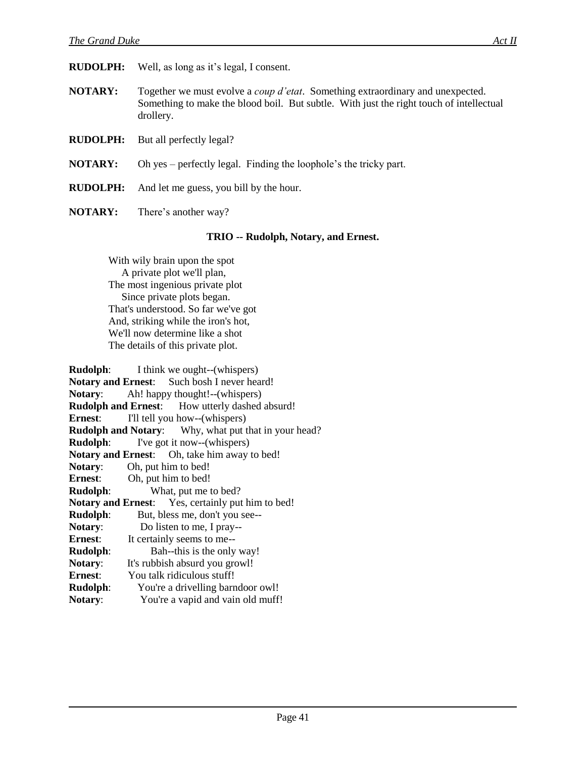**RUDOLPH:** Well, as long as it's legal, I consent.

**NOTARY:** Together we must evolve a *coup d'etat*. Something extraordinary and unexpected. Something to make the blood boil. But subtle. With just the right touch of intellectual drollery.

**RUDOLPH:** But all perfectly legal?

**NOTARY:** Oh yes – perfectly legal. Finding the loophole's the tricky part.

**RUDOLPH:** And let me guess, you bill by the hour.

**NOTARY:** There's another way?

#### **TRIO -- Rudolph, Notary, and Ernest.**

 With wily brain upon the spot A private plot we'll plan, The most ingenious private plot Since private plots began. That's understood. So far we've got And, striking while the iron's hot, We'll now determine like a shot The details of this private plot.

**Rudolph**: I think we ought--(whispers) **Notary and Ernest**: Such bosh I never heard! **Notary**: Ah! happy thought!--(whispers) **Rudolph and Ernest**: How utterly dashed absurd! **Ernest:** I'll tell you how--(whispers) **Rudolph and Notary**: Why, what put that in your head? **Rudolph:** I've got it now--(whispers) **Notary and Ernest**: Oh, take him away to bed! **Notary**: Oh, put him to bed! **Ernest**: Oh, put him to bed! **Rudolph**: What, put me to bed? **Notary and Ernest**: Yes, certainly put him to bed! **Rudolph**: But, bless me, don't you see-- **Notary:** Do listen to me, I pray--<br>**Ernest:** It certainly seems to me--It certainly seems to me--**Rudolph:** Bah--this is the only way! **Notary**: It's rubbish absurd you growl! **Ernest**: You talk ridiculous stuff! **Rudolph:** You're a drivelling barndoor owl! **Notary:** You're a vapid and vain old muff!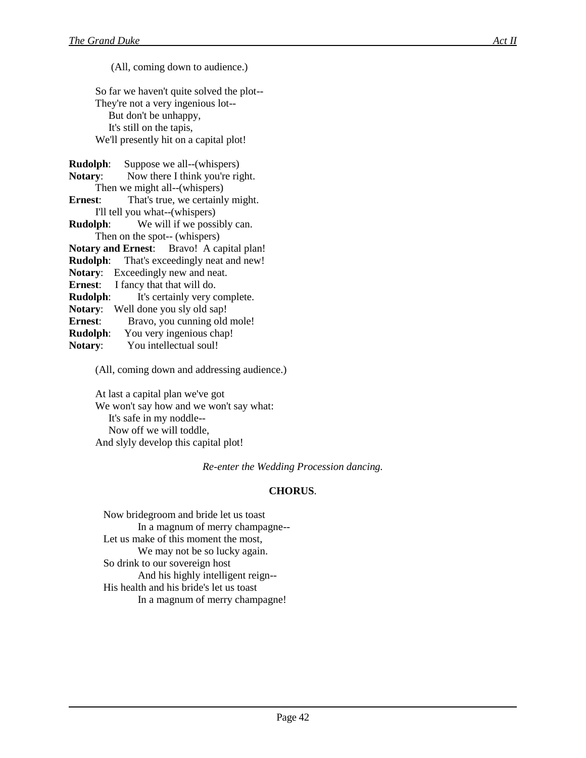(All, coming down to audience.) So far we haven't quite solved the plot-- They're not a very ingenious lot-- But don't be unhappy, It's still on the tapis, We'll presently hit on a capital plot! **Rudolph**: Suppose we all--(whispers) **Notary:** Now there I think you're right. Then we might all--(whispers) **Ernest:** That's true, we certainly might. I'll tell you what--(whispers) **Rudolph**: We will if we possibly can. Then on the spot-- (whispers) **Notary and Ernest**: Bravo! A capital plan! **Rudolph**: That's exceedingly neat and new! **Notary**: Exceedingly new and neat. **Ernest:** I fancy that that will do. **Rudolph**: It's certainly very complete. **Notary**: Well done you sly old sap! **Ernest:** Bravo, you cunning old mole! **Rudolph**: You very ingenious chap! **Notary**: You intellectual soul!

(All, coming down and addressing audience.)

 At last a capital plan we've got We won't say how and we won't say what: It's safe in my noddle-- Now off we will toddle, And slyly develop this capital plot!

*Re-enter the Wedding Procession dancing.*

### **CHORUS**.

Now bridegroom and bride let us toast In a magnum of merry champagne-- Let us make of this moment the most, We may not be so lucky again. So drink to our sovereign host And his highly intelligent reign-- His health and his bride's let us toast In a magnum of merry champagne!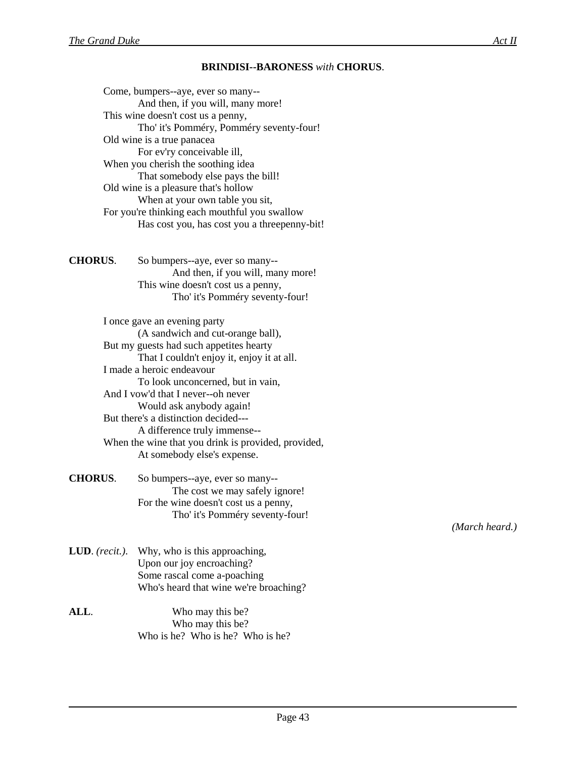#### **BRINDISI--BARONESS** *with* **CHORUS**.

| Come, bumpers--aye, ever so many--            |
|-----------------------------------------------|
| And then, if you will, many more!             |
| This wine doesn't cost us a penny,            |
| Tho' it's Pomméry, Pomméry seventy-four!      |
| Old wine is a true panacea                    |
| For ev'ry conceivable ill,                    |
| When you cherish the soothing idea            |
| That somebody else pays the bill!             |
| Old wine is a pleasure that's hollow          |
| When at your own table you sit,               |
| For you're thinking each mouthful you swallow |
| Has cost you, has cost you a threepenny-bit!  |
|                                               |

**CHORUS**. So bumpers--aye, ever so many-- And then, if you will, many more! This wine doesn't cost us a penny, Tho' it's Pomméry seventy-four!

I once gave an evening party (A sandwich and cut-orange ball), But my guests had such appetites hearty That I couldn't enjoy it, enjoy it at all. I made a heroic endeavour To look unconcerned, but in vain, And I vow'd that I never--oh never Would ask anybody again! But there's a distinction decided--- A difference truly immense-- When the wine that you drink is provided, provided, At somebody else's expense.

**CHORUS**. So bumpers--aye, ever so many-- The cost we may safely ignore! For the wine doesn't cost us a penny, Tho' it's Pomméry seventy-four!

*(March heard.)*

- **LUD**. *(recit.)*. Why, who is this approaching, Upon our joy encroaching? Some rascal come a-poaching Who's heard that wine we're broaching?
- ALL. Who may this be? Who may this be? Who is he? Who is he? Who is he?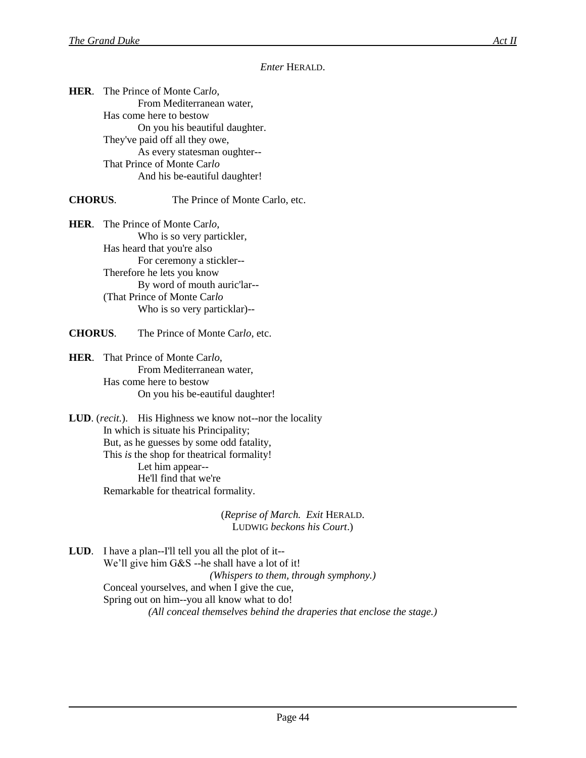#### *Enter* HERALD.

**HER**. The Prince of Monte Car*lo*, From Mediterranean water, Has come here to bestow On you his beautiful daughter. They've paid off all they owe, As every statesman oughter-- That Prince of Monte Car*lo* And his be-eautiful daughter!

### **CHORUS**. The Prince of Monte Carlo, etc.

**HER**. The Prince of Monte Car*lo*, Who is so very partickler, Has heard that you're also For ceremony a stickler-- Therefore he lets you know By word of mouth auric'lar-- (That Prince of Monte Car*lo* Who is so very particklar)--

#### **CHORUS**. The Prince of Monte Car*lo*, etc.

**HER**. That Prince of Monte Car*lo*, From Mediterranean water, Has come here to bestow On you his be-eautiful daughter!

**LUD**. (*recit.*). His Highness we know not--nor the locality In which is situate his Principality; But, as he guesses by some odd fatality, This *is* the shop for theatrical formality! Let him appear-- He'll find that we're Remarkable for theatrical formality.

> (*Reprise of March. Exit* HERALD. LUDWIG *beckons his Court*.)

**LUD**. I have a plan--I'll tell you all the plot of it-- We'll give him G&S --he shall have a lot of it! *(Whispers to them, through symphony.)* Conceal yourselves, and when I give the cue, Spring out on him--you all know what to do! *(All conceal themselves behind the draperies that enclose the stage.)*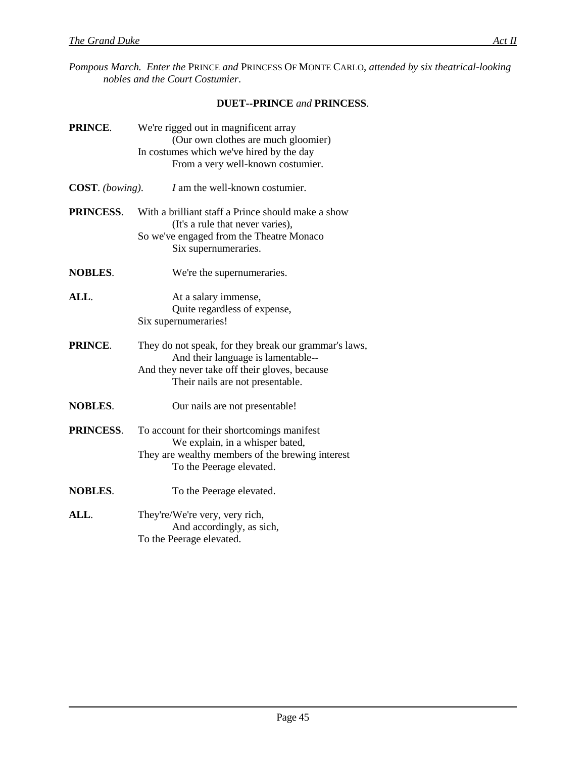*Pompous March. Enter the* PRINCE *and* PRINCESS OF MONTE CARLO, *attended by six theatrical-looking nobles and the Court Costumier*.

#### **DUET--PRINCE** *and* **PRINCESS**.

| PRINCE.           | We're rigged out in magnificent array                                                                                                                                            |
|-------------------|----------------------------------------------------------------------------------------------------------------------------------------------------------------------------------|
|                   | (Our own clothes are much gloomier)<br>In costumes which we've hired by the day                                                                                                  |
|                   | From a very well-known costumier.                                                                                                                                                |
|                   |                                                                                                                                                                                  |
| $COST.$ (bowing). | I am the well-known costumier.                                                                                                                                                   |
| PRINCESS.         | With a brilliant staff a Prince should make a show                                                                                                                               |
|                   | (It's a rule that never varies),                                                                                                                                                 |
|                   | So we've engaged from the Theatre Monaco                                                                                                                                         |
|                   | Six supernumeraries.                                                                                                                                                             |
| <b>NOBLES.</b>    | We're the supernumeraries.                                                                                                                                                       |
| ALL.              | At a salary immense,                                                                                                                                                             |
|                   | Quite regardless of expense,                                                                                                                                                     |
|                   | Six supernumeraries!                                                                                                                                                             |
| PRINCE.           | They do not speak, for they break our grammar's laws,<br>And their language is lamentable--<br>And they never take off their gloves, because<br>Their nails are not presentable. |
|                   |                                                                                                                                                                                  |
| <b>NOBLES.</b>    | Our nails are not presentable!                                                                                                                                                   |
| PRINCESS.         | To account for their shortcomings manifest                                                                                                                                       |
|                   | We explain, in a whisper bated,                                                                                                                                                  |
|                   | They are wealthy members of the brewing interest                                                                                                                                 |
|                   | To the Peerage elevated.                                                                                                                                                         |
| <b>NOBLES.</b>    | To the Peerage elevated.                                                                                                                                                         |
| ALL.              | They're/We're very, very rich,                                                                                                                                                   |
|                   | And accordingly, as sich,                                                                                                                                                        |
|                   | To the Peerage elevated.                                                                                                                                                         |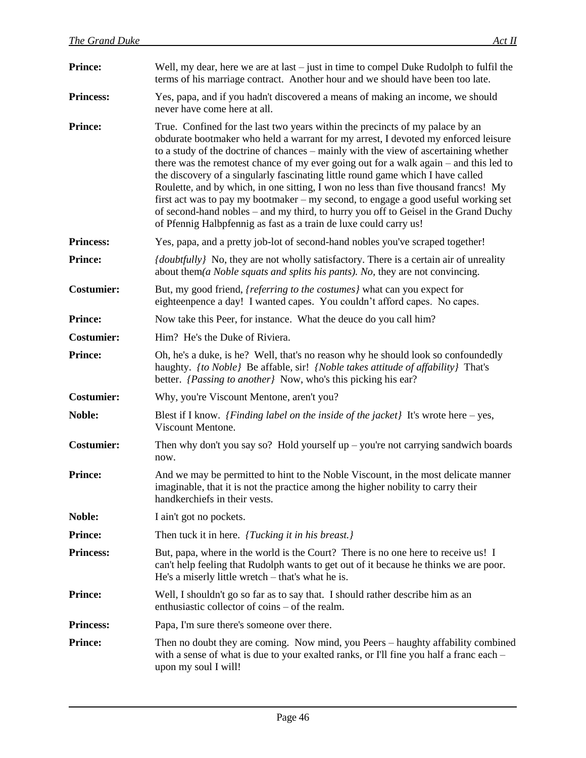| <b>Prince:</b>    | Well, my dear, here we are at last $-$ just in time to compel Duke Rudolph to fulfil the<br>terms of his marriage contract. Another hour and we should have been too late.                                                                                                                                                                                                                                                                                                                                                                                                                                                                                                                                                                                                       |
|-------------------|----------------------------------------------------------------------------------------------------------------------------------------------------------------------------------------------------------------------------------------------------------------------------------------------------------------------------------------------------------------------------------------------------------------------------------------------------------------------------------------------------------------------------------------------------------------------------------------------------------------------------------------------------------------------------------------------------------------------------------------------------------------------------------|
| <b>Princess:</b>  | Yes, papa, and if you hadn't discovered a means of making an income, we should<br>never have come here at all.                                                                                                                                                                                                                                                                                                                                                                                                                                                                                                                                                                                                                                                                   |
| <b>Prince:</b>    | True. Confined for the last two years within the precincts of my palace by an<br>obdurate bootmaker who held a warrant for my arrest, I devoted my enforced leisure<br>to a study of the doctrine of chances – mainly with the view of ascertaining whether<br>there was the remotest chance of my ever going out for a walk again – and this led to<br>the discovery of a singularly fascinating little round game which I have called<br>Roulette, and by which, in one sitting, I won no less than five thousand francs! My<br>first act was to pay my bootmaker - my second, to engage a good useful working set<br>of second-hand nobles – and my third, to hurry you off to Geisel in the Grand Duchy<br>of Pfennig Halbpfennig as fast as a train de luxe could carry us! |
| <b>Princess:</b>  | Yes, papa, and a pretty job-lot of second-hand nobles you've scraped together!                                                                                                                                                                                                                                                                                                                                                                                                                                                                                                                                                                                                                                                                                                   |
| <b>Prince:</b>    | <i>{doubtfully}</i> No, they are not wholly satisfactory. There is a certain air of unreality<br>about them( $a$ Noble squats and splits his pants). No, they are not convincing.                                                                                                                                                                                                                                                                                                                                                                                                                                                                                                                                                                                                |
| <b>Costumier:</b> | But, my good friend, <i>{referring to the costumes}</i> what can you expect for<br>eighteenpence a day! I wanted capes. You couldn't afford capes. No capes.                                                                                                                                                                                                                                                                                                                                                                                                                                                                                                                                                                                                                     |
| <b>Prince:</b>    | Now take this Peer, for instance. What the deuce do you call him?                                                                                                                                                                                                                                                                                                                                                                                                                                                                                                                                                                                                                                                                                                                |
| <b>Costumier:</b> | Him? He's the Duke of Riviera.                                                                                                                                                                                                                                                                                                                                                                                                                                                                                                                                                                                                                                                                                                                                                   |
| <b>Prince:</b>    | Oh, he's a duke, is he? Well, that's no reason why he should look so confoundedly<br>haughty. {to Noble} Be affable, sir! {Noble takes attitude of affability} That's<br>better. <i>{Passing to another}</i> Now, who's this picking his ear?                                                                                                                                                                                                                                                                                                                                                                                                                                                                                                                                    |
| <b>Costumier:</b> | Why, you're Viscount Mentone, aren't you?                                                                                                                                                                                                                                                                                                                                                                                                                                                                                                                                                                                                                                                                                                                                        |
| Noble:            | Blest if I know. <i>{Finding label on the inside of the jacket}</i> It's wrote here $-$ yes,<br>Viscount Mentone.                                                                                                                                                                                                                                                                                                                                                                                                                                                                                                                                                                                                                                                                |
| <b>Costumier:</b> | Then why don't you say so? Hold yourself $up$ - you're not carrying sandwich boards<br>now.                                                                                                                                                                                                                                                                                                                                                                                                                                                                                                                                                                                                                                                                                      |
| <b>Prince:</b>    | And we may be permitted to hint to the Noble Viscount, in the most delicate manner<br>imaginable, that it is not the practice among the higher nobility to carry their<br>handkerchiefs in their vests.                                                                                                                                                                                                                                                                                                                                                                                                                                                                                                                                                                          |
| Noble:            | I ain't got no pockets.                                                                                                                                                                                                                                                                                                                                                                                                                                                                                                                                                                                                                                                                                                                                                          |
| <b>Prince:</b>    | Then tuck it in here. <i>{Tucking it in his breast.}</i>                                                                                                                                                                                                                                                                                                                                                                                                                                                                                                                                                                                                                                                                                                                         |
| <b>Princess:</b>  | But, papa, where in the world is the Court? There is no one here to receive us! I<br>can't help feeling that Rudolph wants to get out of it because he thinks we are poor.<br>He's a miserly little wretch $-$ that's what he is.                                                                                                                                                                                                                                                                                                                                                                                                                                                                                                                                                |
| <b>Prince:</b>    | Well, I shouldn't go so far as to say that. I should rather describe him as an<br>enthusiastic collector of coins – of the realm.                                                                                                                                                                                                                                                                                                                                                                                                                                                                                                                                                                                                                                                |
| <b>Princess:</b>  | Papa, I'm sure there's someone over there.                                                                                                                                                                                                                                                                                                                                                                                                                                                                                                                                                                                                                                                                                                                                       |
| <b>Prince:</b>    | Then no doubt they are coming. Now mind, you Peers – haughty affability combined<br>with a sense of what is due to your exalted ranks, or I'll fine you half a france ach –<br>upon my soul I will!                                                                                                                                                                                                                                                                                                                                                                                                                                                                                                                                                                              |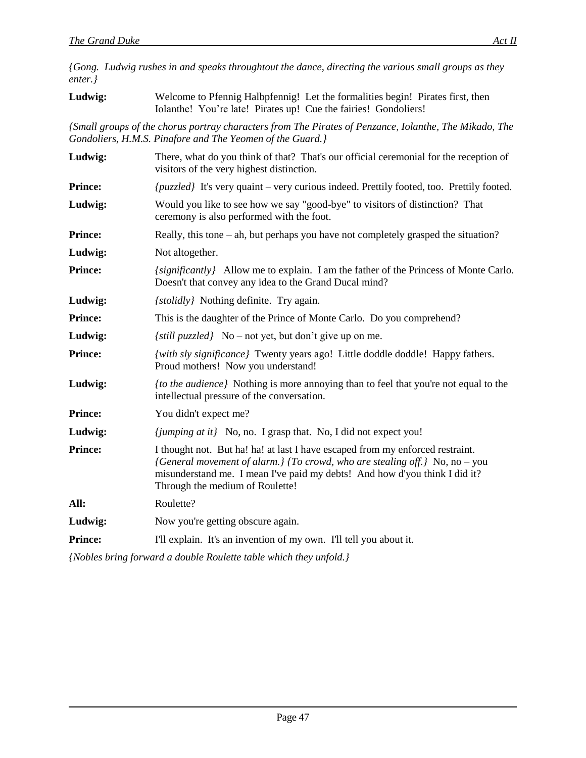*{Small groups of the chorus portray characters from The Pirates of Penzance, Iolanthe, The Mikado, The Gondoliers, H.M.S. Pinafore and The Yeomen of the Guard.}*

| There, what do you think of that? That's our official ceremonial for the reception of<br>visitors of the very highest distinction.                                                                                                                                            |
|-------------------------------------------------------------------------------------------------------------------------------------------------------------------------------------------------------------------------------------------------------------------------------|
| {puzzled} It's very quaint - very curious indeed. Prettily footed, too. Prettily footed.                                                                                                                                                                                      |
| Would you like to see how we say "good-bye" to visitors of distinction? That<br>ceremony is also performed with the foot.                                                                                                                                                     |
| Really, this tone $-$ ah, but perhaps you have not completely grasped the situation?                                                                                                                                                                                          |
| Not altogether.                                                                                                                                                                                                                                                               |
| $\{significantly\}$ Allow me to explain. I am the father of the Princess of Monte Carlo.<br>Doesn't that convey any idea to the Grand Ducal mind?                                                                                                                             |
| <i>{stolidly}</i> Nothing definite. Try again.                                                                                                                                                                                                                                |
| This is the daughter of the Prince of Monte Carlo. Do you comprehend?                                                                                                                                                                                                         |
| $\{still \, puzzle\}$ No – not yet, but don't give up on me.                                                                                                                                                                                                                  |
| {with sly significance} Twenty years ago! Little doddle doddle! Happy fathers.<br>Proud mothers! Now you understand!                                                                                                                                                          |
| <i>(to the audience)</i> Nothing is more annoying than to feel that you're not equal to the<br>intellectual pressure of the conversation.                                                                                                                                     |
| You didn't expect me?                                                                                                                                                                                                                                                         |
| <i>{jumping at it}</i> No, no. I grasp that. No, I did not expect you!                                                                                                                                                                                                        |
| I thought not. But ha! ha! at last I have escaped from my enforced restraint.<br>{General movement of alarm.} {To crowd, who are stealing off.} No, no – you<br>misunderstand me. I mean I've paid my debts! And how d'you think I did it?<br>Through the medium of Roulette! |
| Roulette?                                                                                                                                                                                                                                                                     |
| Now you're getting obscure again.                                                                                                                                                                                                                                             |
| I'll explain. It's an invention of my own. I'll tell you about it.                                                                                                                                                                                                            |
|                                                                                                                                                                                                                                                                               |

*{Nobles bring forward a double Roulette table which they unfold.}*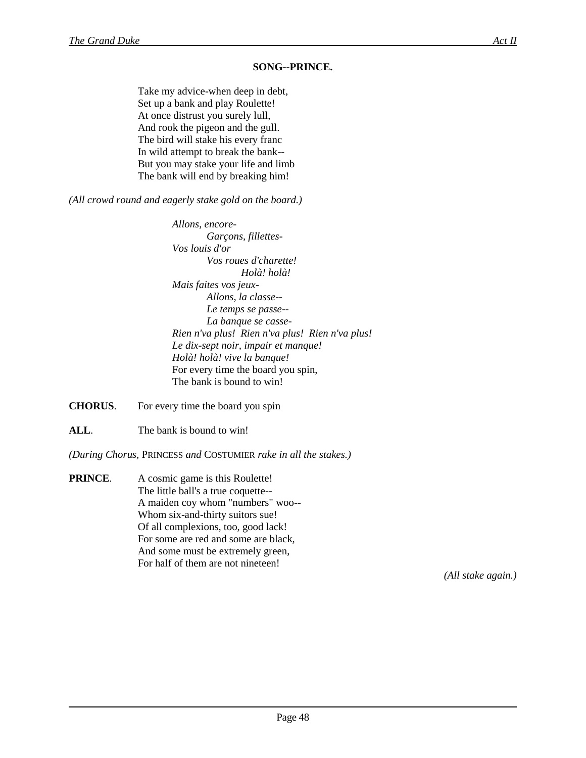### **SONG--PRINCE.**

Take my advice-when deep in debt, Set up a bank and play Roulette! At once distrust you surely lull, And rook the pigeon and the gull. The bird will stake his every franc In wild attempt to break the bank-- But you may stake your life and limb The bank will end by breaking him!

*(All crowd round and eagerly stake gold on the board.)*

*Allons, encore-Garçons, fillettes-Vos louis d'or Vos roues d'charette! Holà! holà! Mais faites vos jeux-Allons, la classe-- Le temps se passe-- La banque se casse-Rien n'va plus! Rien n'va plus! Rien n'va plus! Le dix-sept noir, impair et manque! Holà! holà! vive la banque!* For every time the board you spin, The bank is bound to win!

**CHORUS**. For every time the board you spin

**ALL**. The bank is bound to win!

*(During Chorus,* PRINCESS *and* COSTUMIER *rake in all the stakes.)*

**PRINCE.** A cosmic game is this Roulette! The little ball's a true coquette-- A maiden coy whom "numbers" woo-- Whom six-and-thirty suitors sue! Of all complexions, too, good lack! For some are red and some are black, And some must be extremely green, For half of them are not nineteen!

*(All stake again.)*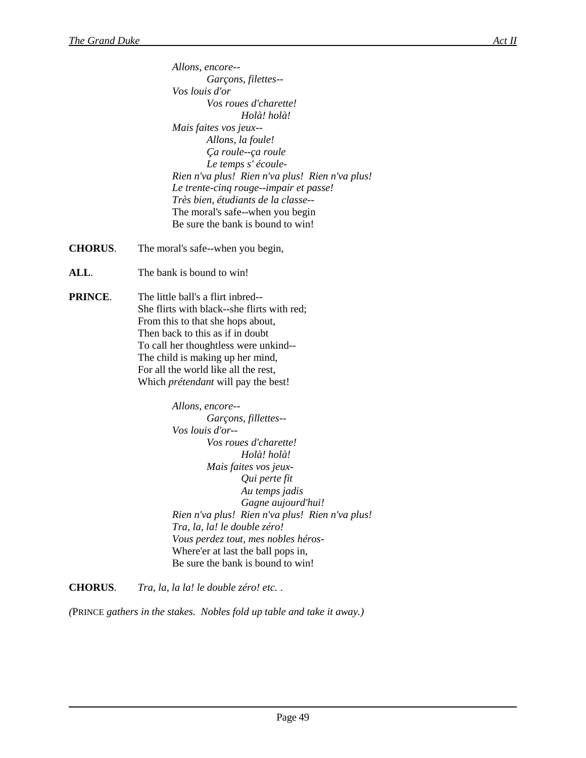*Allons, encore-- Garçons, filettes-- Vos louis d'or Vos roues d'charette! Holà! holà! Mais faites vos jeux-- Allons, la foule! Ça roule--ça roule Le temps s' écoule-Rien n'va plus! Rien n'va plus! Rien n'va plus! Le trente-cinq rouge--impair et passe! Très bien, étudiants de la classe--* The moral's safe--when you begin Be sure the bank is bound to win!

**CHORUS**. The moral's safe--when you begin,

**ALL**. The bank is bound to win!

**PRINCE.** The little ball's a flirt inbred--She flirts with black--she flirts with red; From this to that she hops about, Then back to this as if in doubt To call her thoughtless were unkind-- The child is making up her mind, For all the world like all the rest, Which *prétendant* will pay the best!

> *Allons, encore-- Garçons, fillettes-- Vos louis d'or-- Vos roues d'charette! Holà! holà! Mais faites vos jeux-Qui perte fit Au temps jadis Gagne aujourd'hui! Rien n'va plus! Rien n'va plus! Rien n'va plus! Tra, la, la! le double zéro! Vous perdez tout, mes nobles héros-*Where'er at last the ball pops in, Be sure the bank is bound to win!

**CHORUS**. *Tra, la, la la! le double zéro! etc.* .

*(*PRINCE *gathers in the stakes. Nobles fold up table and take it away.)*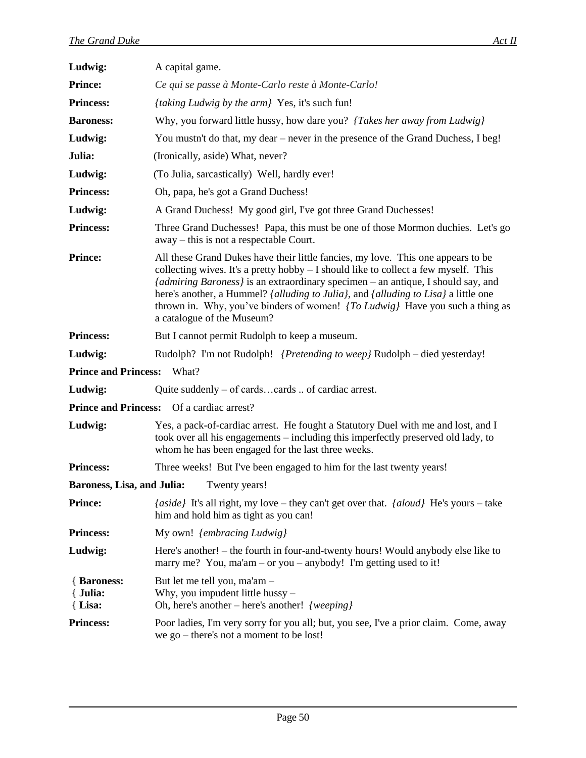| Ludwig:                            | A capital game.                                                                                                                                                                                                                                                                                                                                                                                                                                                                               |
|------------------------------------|-----------------------------------------------------------------------------------------------------------------------------------------------------------------------------------------------------------------------------------------------------------------------------------------------------------------------------------------------------------------------------------------------------------------------------------------------------------------------------------------------|
| <b>Prince:</b>                     | Ce qui se passe à Monte-Carlo reste à Monte-Carlo!                                                                                                                                                                                                                                                                                                                                                                                                                                            |
| <b>Princess:</b>                   | {taking Ludwig by the arm} Yes, it's such fun!                                                                                                                                                                                                                                                                                                                                                                                                                                                |
| <b>Baroness:</b>                   | Why, you forward little hussy, how dare you? <i>{Takes her away from Ludwig}</i>                                                                                                                                                                                                                                                                                                                                                                                                              |
| Ludwig:                            | You mustn't do that, my dear – never in the presence of the Grand Duchess, I beg!                                                                                                                                                                                                                                                                                                                                                                                                             |
| Julia:                             | (Ironically, aside) What, never?                                                                                                                                                                                                                                                                                                                                                                                                                                                              |
| Ludwig:                            | (To Julia, sarcastically) Well, hardly ever!                                                                                                                                                                                                                                                                                                                                                                                                                                                  |
| <b>Princess:</b>                   | Oh, papa, he's got a Grand Duchess!                                                                                                                                                                                                                                                                                                                                                                                                                                                           |
| Ludwig:                            | A Grand Duchess! My good girl, I've got three Grand Duchesses!                                                                                                                                                                                                                                                                                                                                                                                                                                |
| <b>Princess:</b>                   | Three Grand Duchesses! Papa, this must be one of those Mormon duchies. Let's go<br>away – this is not a respectable Court.                                                                                                                                                                                                                                                                                                                                                                    |
| <b>Prince:</b>                     | All these Grand Dukes have their little fancies, my love. This one appears to be<br>collecting wives. It's a pretty hobby - I should like to collect a few myself. This<br><i>{admiring Baroness}</i> is an extraordinary specimen – an antique, I should say, and<br>here's another, a Hummel? <i>{alluding to Julia}</i> , and <i>{alluding to Lisa}</i> a little one<br>thrown in. Why, you've binders of women! <i>{To Ludwig}</i> Have you such a thing as<br>a catalogue of the Museum? |
| <b>Princess:</b>                   | But I cannot permit Rudolph to keep a museum.                                                                                                                                                                                                                                                                                                                                                                                                                                                 |
| Ludwig:                            | Rudolph? I'm not Rudolph! <i>{Pretending to weep}</i> Rudolph – died yesterday!                                                                                                                                                                                                                                                                                                                                                                                                               |
| <b>Prince and Princess:</b>        | What?                                                                                                                                                                                                                                                                                                                                                                                                                                                                                         |
| Ludwig:                            | Quite suddenly – of cardscardsof cardiac arrest.                                                                                                                                                                                                                                                                                                                                                                                                                                              |
| <b>Prince and Princess:</b>        | Of a cardiac arrest?                                                                                                                                                                                                                                                                                                                                                                                                                                                                          |
| Ludwig:                            | Yes, a pack-of-cardiac arrest. He fought a Statutory Duel with me and lost, and I<br>took over all his engagements – including this imperfectly preserved old lady, to<br>whom he has been engaged for the last three weeks.                                                                                                                                                                                                                                                                  |
| <b>Princess:</b>                   | Three weeks! But I've been engaged to him for the last twenty years!                                                                                                                                                                                                                                                                                                                                                                                                                          |
| Baroness, Lisa, and Julia:         | Twenty years!                                                                                                                                                                                                                                                                                                                                                                                                                                                                                 |
| <b>Prince:</b>                     | <i>{aside}</i> It's all right, my love - they can't get over that. <i>{aloud}</i> He's yours - take<br>him and hold him as tight as you can!                                                                                                                                                                                                                                                                                                                                                  |
| <b>Princess:</b>                   | My own! {embracing Ludwig}                                                                                                                                                                                                                                                                                                                                                                                                                                                                    |
| Ludwig:                            | Here's another! - the fourth in four-and-twenty hours! Would anybody else like to<br>marry me? You, $ma'am - or you - anybody!$ I'm getting used to it!                                                                                                                                                                                                                                                                                                                                       |
| { Baroness:<br>{ Julia:<br>{ Lisa: | But let me tell you, ma'am -<br>Why, you impudent little hussy -<br>Oh, here's another – here's another! {weeping}                                                                                                                                                                                                                                                                                                                                                                            |
| <b>Princess:</b>                   | Poor ladies, I'm very sorry for you all; but, you see, I've a prior claim. Come, away<br>we go – there's not a moment to be lost!                                                                                                                                                                                                                                                                                                                                                             |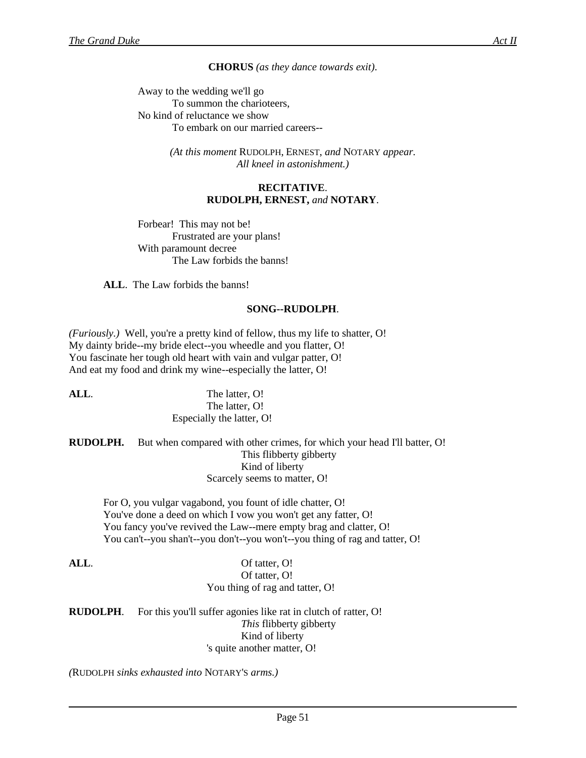**CHORUS** *(as they dance towards exit)*.

Away to the wedding we'll go To summon the charioteers, No kind of reluctance we show To embark on our married careers--

> *(At this moment* RUDOLPH, ERNEST, *and* NOTARY *appear. All kneel in astonishment.)*

#### **RECITATIVE**. **RUDOLPH, ERNEST,** *and* **NOTARY**.

Forbear! This may not be! Frustrated are your plans! With paramount decree The Law forbids the banns!

**ALL**. The Law forbids the banns!

#### **SONG--RUDOLPH**.

*(Furiously.)* Well, you're a pretty kind of fellow, thus my life to shatter, O! My dainty bride--my bride elect--you wheedle and you flatter, O! You fascinate her tough old heart with vain and vulgar patter, O! And eat my food and drink my wine--especially the latter, O!

| ALL. | The latter, O!            |
|------|---------------------------|
|      | The latter, O!            |
|      | Especially the latter, O! |

**RUDOLPH.** But when compared with other crimes, for which your head I'll batter, O! This flibberty gibberty Kind of liberty Scarcely seems to matter, O!

For O, you vulgar vagabond, you fount of idle chatter, O! You've done a deed on which I vow you won't get any fatter, O! You fancy you've revived the Law--mere empty brag and clatter, O! You can't--you shan't--you don't--you won't--you thing of rag and tatter, O!

**ALL**. Of tatter, O! Of tatter, O! You thing of rag and tatter, O!

**RUDOLPH.** For this you'll suffer agonies like rat in clutch of ratter, O! *This* flibberty gibberty Kind of liberty 's quite another matter, O!

*(*RUDOLPH *sinks exhausted into* NOTARY'S *arms.)*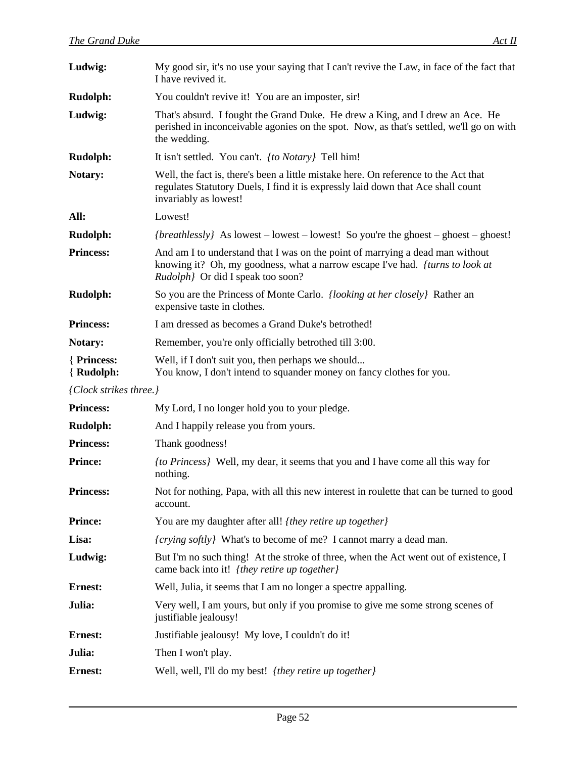| Ludwig:                   | My good sir, it's no use your saying that I can't revive the Law, in face of the fact that<br>I have revived it.                                                                                                 |
|---------------------------|------------------------------------------------------------------------------------------------------------------------------------------------------------------------------------------------------------------|
| Rudolph:                  | You couldn't revive it! You are an imposter, sir!                                                                                                                                                                |
| Ludwig:                   | That's absurd. I fought the Grand Duke. He drew a King, and I drew an Ace. He<br>perished in inconceivable agonies on the spot. Now, as that's settled, we'll go on with<br>the wedding.                         |
| Rudolph:                  | It isn't settled. You can't. <i>{to Notary}</i> Tell him!                                                                                                                                                        |
| Notary:                   | Well, the fact is, there's been a little mistake here. On reference to the Act that<br>regulates Statutory Duels, I find it is expressly laid down that Ace shall count<br>invariably as lowest!                 |
| All:                      | Lowest!                                                                                                                                                                                                          |
| <b>Rudolph:</b>           | <i>{breathlessly}</i> As lowest – lowest – lowest! So you're the ghoest – ghoest – ghoest!                                                                                                                       |
| <b>Princess:</b>          | And am I to understand that I was on the point of marrying a dead man without<br>knowing it? Oh, my goodness, what a narrow escape I've had. <i>{turns to look at</i><br><i>Rudolph Or</i> did I speak too soon? |
| Rudolph:                  | So you are the Princess of Monte Carlo. <i>{looking at her closely}</i> Rather an<br>expensive taste in clothes.                                                                                                 |
| <b>Princess:</b>          | I am dressed as becomes a Grand Duke's betrothed!                                                                                                                                                                |
| Notary:                   | Remember, you're only officially betrothed till 3:00.                                                                                                                                                            |
| { Princess:<br>{ Rudolph: | Well, if I don't suit you, then perhaps we should<br>You know, I don't intend to squander money on fancy clothes for you.                                                                                        |
| {Clock strikes three.}    |                                                                                                                                                                                                                  |
| <b>Princess:</b>          | My Lord, I no longer hold you to your pledge.                                                                                                                                                                    |
| <b>Rudolph:</b>           | And I happily release you from yours.                                                                                                                                                                            |
| <b>Princess:</b>          | Thank goodness!                                                                                                                                                                                                  |
| <b>Prince:</b>            | <i>(to Princess)</i> Well, my dear, it seems that you and I have come all this way for<br>nothing.                                                                                                               |
| <b>Princess:</b>          | Not for nothing, Papa, with all this new interest in roulette that can be turned to good<br>account.                                                                                                             |
| <b>Prince:</b>            | You are my daughter after all! (they retire up together)                                                                                                                                                         |
| Lisa:                     | <i>{crying softly}</i> What's to become of me? I cannot marry a dead man.                                                                                                                                        |
| Ludwig:                   | But I'm no such thing! At the stroke of three, when the Act went out of existence, I<br>came back into it! {they retire up together}                                                                             |
| <b>Ernest:</b>            | Well, Julia, it seems that I am no longer a spectre appalling.                                                                                                                                                   |
| Julia:                    | Very well, I am yours, but only if you promise to give me some strong scenes of<br>justifiable jealousy!                                                                                                         |
| <b>Ernest:</b>            | Justifiable jealousy! My love, I couldn't do it!                                                                                                                                                                 |
| Julia:                    | Then I won't play.                                                                                                                                                                                               |
| <b>Ernest:</b>            | Well, well, I'll do my best! {they retire up together}                                                                                                                                                           |